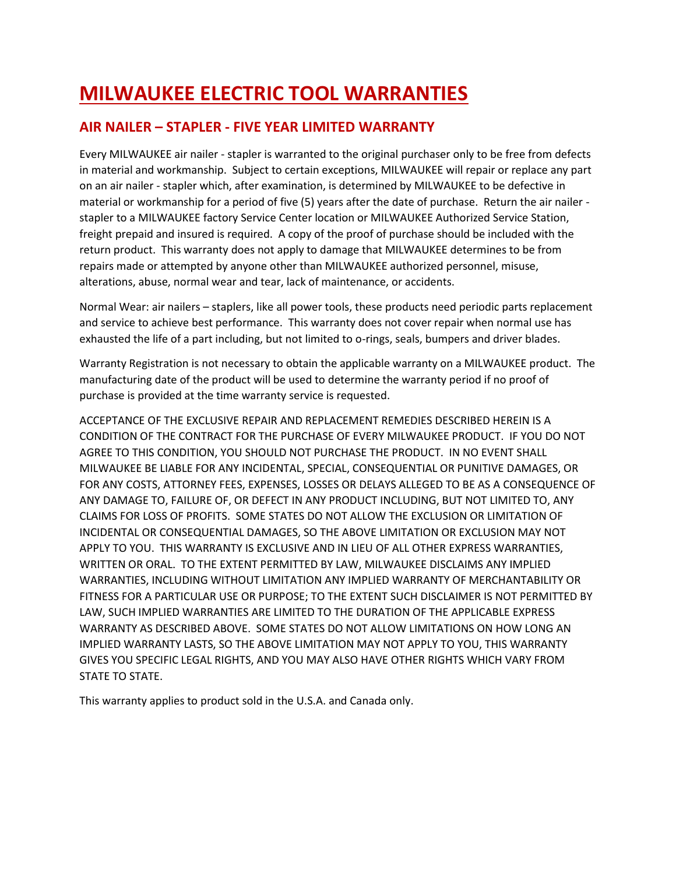# **MILWAUKEE ELECTRIC TOOL WARRANTIES**

#### **AIR NAILER – STAPLER - FIVE YEAR LIMITED WARRANTY**

Every MILWAUKEE air nailer - stapler is warranted to the original purchaser only to be free from defects in material and workmanship. Subject to certain exceptions, MILWAUKEE will repair or replace any part on an air nailer - stapler which, after examination, is determined by MILWAUKEE to be defective in material or workmanship for a period of five (5) years after the date of purchase. Return the air nailer stapler to a MILWAUKEE factory Service Center location or MILWAUKEE Authorized Service Station, freight prepaid and insured is required. A copy of the proof of purchase should be included with the return product. This warranty does not apply to damage that MILWAUKEE determines to be from repairs made or attempted by anyone other than MILWAUKEE authorized personnel, misuse, alterations, abuse, normal wear and tear, lack of maintenance, or accidents.

Normal Wear: air nailers – staplers, like all power tools, these products need periodic parts replacement and service to achieve best performance. This warranty does not cover repair when normal use has exhausted the life of a part including, but not limited to o-rings, seals, bumpers and driver blades.

Warranty Registration is not necessary to obtain the applicable warranty on a MILWAUKEE product. The manufacturing date of the product will be used to determine the warranty period if no proof of purchase is provided at the time warranty service is requested.

ACCEPTANCE OF THE EXCLUSIVE REPAIR AND REPLACEMENT REMEDIES DESCRIBED HEREIN IS A CONDITION OF THE CONTRACT FOR THE PURCHASE OF EVERY MILWAUKEE PRODUCT. IF YOU DO NOT AGREE TO THIS CONDITION, YOU SHOULD NOT PURCHASE THE PRODUCT. IN NO EVENT SHALL MILWAUKEE BE LIABLE FOR ANY INCIDENTAL, SPECIAL, CONSEQUENTIAL OR PUNITIVE DAMAGES, OR FOR ANY COSTS, ATTORNEY FEES, EXPENSES, LOSSES OR DELAYS ALLEGED TO BE AS A CONSEQUENCE OF ANY DAMAGE TO, FAILURE OF, OR DEFECT IN ANY PRODUCT INCLUDING, BUT NOT LIMITED TO, ANY CLAIMS FOR LOSS OF PROFITS. SOME STATES DO NOT ALLOW THE EXCLUSION OR LIMITATION OF INCIDENTAL OR CONSEQUENTIAL DAMAGES, SO THE ABOVE LIMITATION OR EXCLUSION MAY NOT APPLY TO YOU. THIS WARRANTY IS EXCLUSIVE AND IN LIEU OF ALL OTHER EXPRESS WARRANTIES, WRITTEN OR ORAL. TO THE EXTENT PERMITTED BY LAW, MILWAUKEE DISCLAIMS ANY IMPLIED WARRANTIES, INCLUDING WITHOUT LIMITATION ANY IMPLIED WARRANTY OF MERCHANTABILITY OR FITNESS FOR A PARTICULAR USE OR PURPOSE; TO THE EXTENT SUCH DISCLAIMER IS NOT PERMITTED BY LAW, SUCH IMPLIED WARRANTIES ARE LIMITED TO THE DURATION OF THE APPLICABLE EXPRESS WARRANTY AS DESCRIBED ABOVE. SOME STATES DO NOT ALLOW LIMITATIONS ON HOW LONG AN IMPLIED WARRANTY LASTS, SO THE ABOVE LIMITATION MAY NOT APPLY TO YOU, THIS WARRANTY GIVES YOU SPECIFIC LEGAL RIGHTS, AND YOU MAY ALSO HAVE OTHER RIGHTS WHICH VARY FROM STATE TO STATE.

This warranty applies to product sold in the U.S.A. and Canada only.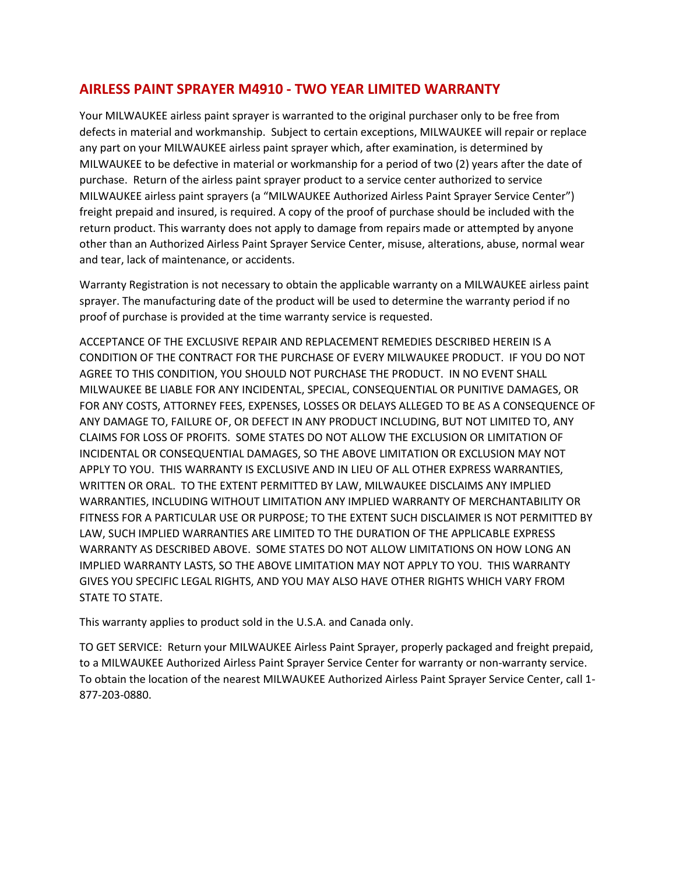#### **AIRLESS PAINT SPRAYER M4910 - TWO YEAR LIMITED WARRANTY**

Your MILWAUKEE airless paint sprayer is warranted to the original purchaser only to be free from defects in material and workmanship. Subject to certain exceptions, MILWAUKEE will repair or replace any part on your MILWAUKEE airless paint sprayer which, after examination, is determined by MILWAUKEE to be defective in material or workmanship for a period of two (2) years after the date of purchase. Return of the airless paint sprayer product to a service center authorized to service MILWAUKEE airless paint sprayers (a "MILWAUKEE Authorized Airless Paint Sprayer Service Center") freight prepaid and insured, is required. A copy of the proof of purchase should be included with the return product. This warranty does not apply to damage from repairs made or attempted by anyone other than an Authorized Airless Paint Sprayer Service Center, misuse, alterations, abuse, normal wear and tear, lack of maintenance, or accidents.

Warranty Registration is not necessary to obtain the applicable warranty on a MILWAUKEE airless paint sprayer. The manufacturing date of the product will be used to determine the warranty period if no proof of purchase is provided at the time warranty service is requested.

ACCEPTANCE OF THE EXCLUSIVE REPAIR AND REPLACEMENT REMEDIES DESCRIBED HEREIN IS A CONDITION OF THE CONTRACT FOR THE PURCHASE OF EVERY MILWAUKEE PRODUCT. IF YOU DO NOT AGREE TO THIS CONDITION, YOU SHOULD NOT PURCHASE THE PRODUCT. IN NO EVENT SHALL MILWAUKEE BE LIABLE FOR ANY INCIDENTAL, SPECIAL, CONSEQUENTIAL OR PUNITIVE DAMAGES, OR FOR ANY COSTS, ATTORNEY FEES, EXPENSES, LOSSES OR DELAYS ALLEGED TO BE AS A CONSEQUENCE OF ANY DAMAGE TO, FAILURE OF, OR DEFECT IN ANY PRODUCT INCLUDING, BUT NOT LIMITED TO, ANY CLAIMS FOR LOSS OF PROFITS. SOME STATES DO NOT ALLOW THE EXCLUSION OR LIMITATION OF INCIDENTAL OR CONSEQUENTIAL DAMAGES, SO THE ABOVE LIMITATION OR EXCLUSION MAY NOT APPLY TO YOU. THIS WARRANTY IS EXCLUSIVE AND IN LIEU OF ALL OTHER EXPRESS WARRANTIES, WRITTEN OR ORAL. TO THE EXTENT PERMITTED BY LAW, MILWAUKEE DISCLAIMS ANY IMPLIED WARRANTIES, INCLUDING WITHOUT LIMITATION ANY IMPLIED WARRANTY OF MERCHANTABILITY OR FITNESS FOR A PARTICULAR USE OR PURPOSE; TO THE EXTENT SUCH DISCLAIMER IS NOT PERMITTED BY LAW, SUCH IMPLIED WARRANTIES ARE LIMITED TO THE DURATION OF THE APPLICABLE EXPRESS WARRANTY AS DESCRIBED ABOVE. SOME STATES DO NOT ALLOW LIMITATIONS ON HOW LONG AN IMPLIED WARRANTY LASTS, SO THE ABOVE LIMITATION MAY NOT APPLY TO YOU. THIS WARRANTY GIVES YOU SPECIFIC LEGAL RIGHTS, AND YOU MAY ALSO HAVE OTHER RIGHTS WHICH VARY FROM STATE TO STATE.

This warranty applies to product sold in the U.S.A. and Canada only.

TO GET SERVICE: Return your MILWAUKEE Airless Paint Sprayer, properly packaged and freight prepaid, to a MILWAUKEE Authorized Airless Paint Sprayer Service Center for warranty or non-warranty service. To obtain the location of the nearest MILWAUKEE Authorized Airless Paint Sprayer Service Center, call 1- 877-203-0880.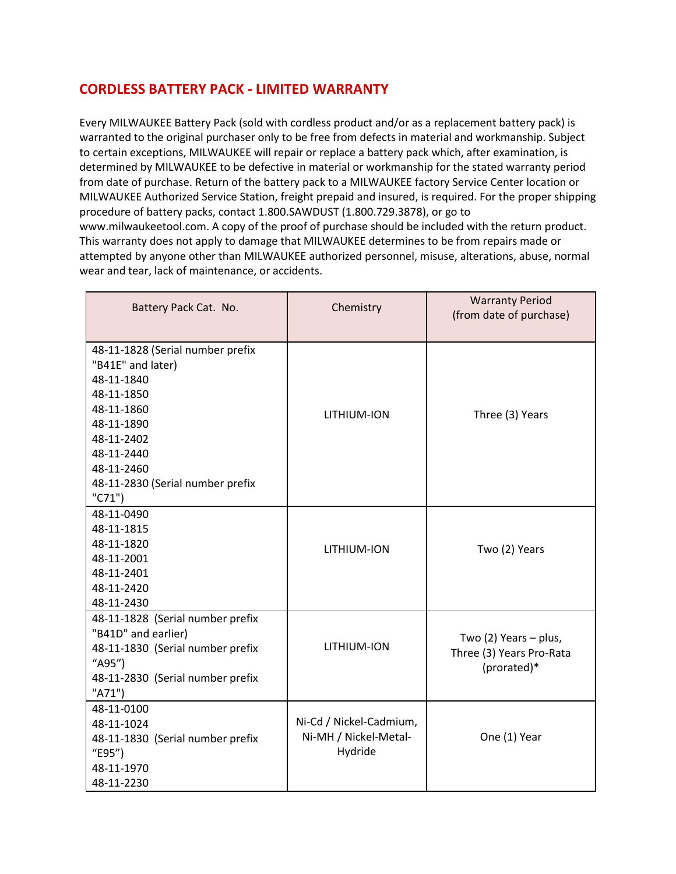#### **CORDLESS BATTERY PACK - LIMITED WARRANTY**

Every MILWAUKEE Battery Pack (sold with cordless product and/or as a replacement battery pack) is warranted to the original purchaser only to be free from defects in material and workmanship. Subject to certain exceptions, MILWAUKEE will repair or replace a battery pack which, after examination, is determined by MILWAUKEE to be defective in material or workmanship for the stated warranty period from date of purchase. Return of the battery pack to a MILWAUKEE factory Service Center location or MILWAUKEE Authorized Service Station, freight prepaid and insured, is required. For the proper shipping procedure of battery packs, contact 1.800.SAWDUST (1.800.729.3878), or go to www.milwaukeetool.com. A copy of the proof of purchase should be included with the return product. This warranty does not apply to damage that MILWAUKEE determines to be from repairs made or attempted by anyone other than MILWAUKEE authorized personnel, misuse, alterations, abuse, normal wear and tear, lack of maintenance, or accidents.

| Battery Pack Cat. No.                                                                                                                                                                                    | Chemistry                                                   | <b>Warranty Period</b><br>(from date of purchase)                |
|----------------------------------------------------------------------------------------------------------------------------------------------------------------------------------------------------------|-------------------------------------------------------------|------------------------------------------------------------------|
| 48-11-1828 (Serial number prefix<br>"B41E" and later)<br>48-11-1840<br>48-11-1850<br>48-11-1860<br>48-11-1890<br>48-11-2402<br>48-11-2440<br>48-11-2460<br>48-11-2830 (Serial number prefix<br>$"C71"$ ) | LITHIUM-ION                                                 | Three (3) Years                                                  |
| 48-11-0490<br>48-11-1815<br>48-11-1820<br>48-11-2001<br>48-11-2401<br>48-11-2420<br>48-11-2430                                                                                                           | LITHIUM-ION                                                 | Two (2) Years                                                    |
| 48-11-1828 (Serial number prefix<br>"B41D" and earlier)<br>48-11-1830 (Serial number prefix<br>"A95")<br>48-11-2830 (Serial number prefix<br>"A71")                                                      | LITHIUM-ION                                                 | Two (2) Years - plus,<br>Three (3) Years Pro-Rata<br>(prorated)* |
| 48-11-0100<br>48-11-1024<br>48-11-1830 (Serial number prefix<br>"E95")<br>48-11-1970<br>48-11-2230                                                                                                       | Ni-Cd / Nickel-Cadmium,<br>Ni-MH / Nickel-Metal-<br>Hydride | One (1) Year                                                     |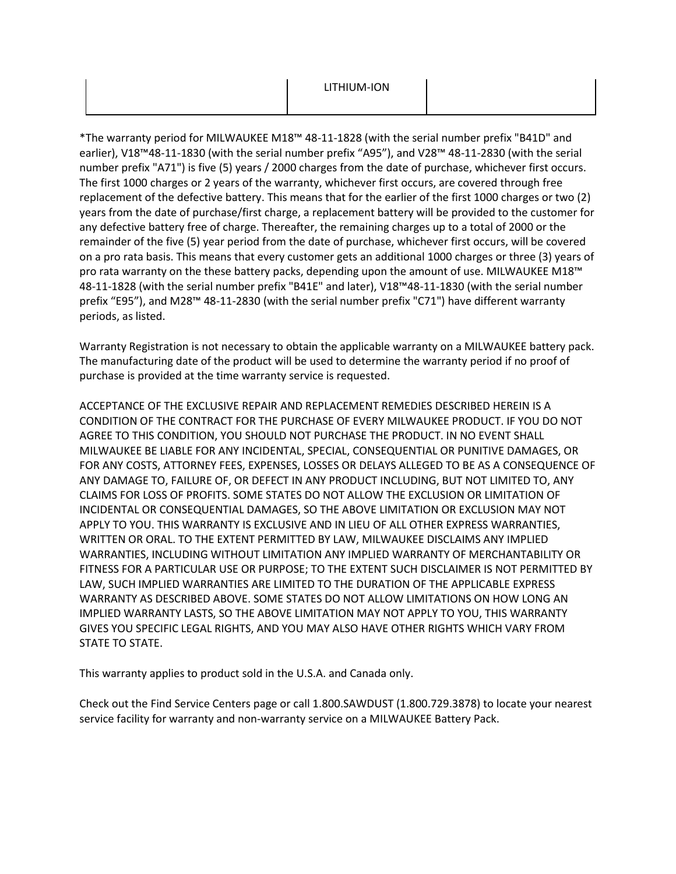\*The warranty period for MILWAUKEE M18™ 48-11-1828 (with the serial number prefix "B41D" and earlier), V18™48-11-1830 (with the serial number prefix "A95"), and V28™ 48-11-2830 (with the serial number prefix "A71") is five (5) years / 2000 charges from the date of purchase, whichever first occurs. The first 1000 charges or 2 years of the warranty, whichever first occurs, are covered through free replacement of the defective battery. This means that for the earlier of the first 1000 charges or two (2) years from the date of purchase/first charge, a replacement battery will be provided to the customer for any defective battery free of charge. Thereafter, the remaining charges up to a total of 2000 or the remainder of the five (5) year period from the date of purchase, whichever first occurs, will be covered on a pro rata basis. This means that every customer gets an additional 1000 charges or three (3) years of pro rata warranty on the these battery packs, depending upon the amount of use. MILWAUKEE M18™ 48-11-1828 (with the serial number prefix "B41E" and later), V18™48-11-1830 (with the serial number prefix "E95"), and M28™ 48-11-2830 (with the serial number prefix "C71") have different warranty periods, as listed.

Warranty Registration is not necessary to obtain the applicable warranty on a MILWAUKEE battery pack. The manufacturing date of the product will be used to determine the warranty period if no proof of purchase is provided at the time warranty service is requested.

ACCEPTANCE OF THE EXCLUSIVE REPAIR AND REPLACEMENT REMEDIES DESCRIBED HEREIN IS A CONDITION OF THE CONTRACT FOR THE PURCHASE OF EVERY MILWAUKEE PRODUCT. IF YOU DO NOT AGREE TO THIS CONDITION, YOU SHOULD NOT PURCHASE THE PRODUCT. IN NO EVENT SHALL MILWAUKEE BE LIABLE FOR ANY INCIDENTAL, SPECIAL, CONSEQUENTIAL OR PUNITIVE DAMAGES, OR FOR ANY COSTS, ATTORNEY FEES, EXPENSES, LOSSES OR DELAYS ALLEGED TO BE AS A CONSEQUENCE OF ANY DAMAGE TO, FAILURE OF, OR DEFECT IN ANY PRODUCT INCLUDING, BUT NOT LIMITED TO, ANY CLAIMS FOR LOSS OF PROFITS. SOME STATES DO NOT ALLOW THE EXCLUSION OR LIMITATION OF INCIDENTAL OR CONSEQUENTIAL DAMAGES, SO THE ABOVE LIMITATION OR EXCLUSION MAY NOT APPLY TO YOU. THIS WARRANTY IS EXCLUSIVE AND IN LIEU OF ALL OTHER EXPRESS WARRANTIES, WRITTEN OR ORAL. TO THE EXTENT PERMITTED BY LAW, MILWAUKEE DISCLAIMS ANY IMPLIED WARRANTIES, INCLUDING WITHOUT LIMITATION ANY IMPLIED WARRANTY OF MERCHANTABILITY OR FITNESS FOR A PARTICULAR USE OR PURPOSE; TO THE EXTENT SUCH DISCLAIMER IS NOT PERMITTED BY LAW, SUCH IMPLIED WARRANTIES ARE LIMITED TO THE DURATION OF THE APPLICABLE EXPRESS WARRANTY AS DESCRIBED ABOVE. SOME STATES DO NOT ALLOW LIMITATIONS ON HOW LONG AN IMPLIED WARRANTY LASTS, SO THE ABOVE LIMITATION MAY NOT APPLY TO YOU, THIS WARRANTY GIVES YOU SPECIFIC LEGAL RIGHTS, AND YOU MAY ALSO HAVE OTHER RIGHTS WHICH VARY FROM STATE TO STATE.

This warranty applies to product sold in the U.S.A. and Canada only.

Check out th[e Find Service Centers](https://www.milwaukeetool.ca/Support/Find-A-Service-Center) page or call 1.800.SAWDUST (1.800.729.3878) to locate your nearest service facility for warranty and non-warranty service on a MILWAUKEE Battery Pack.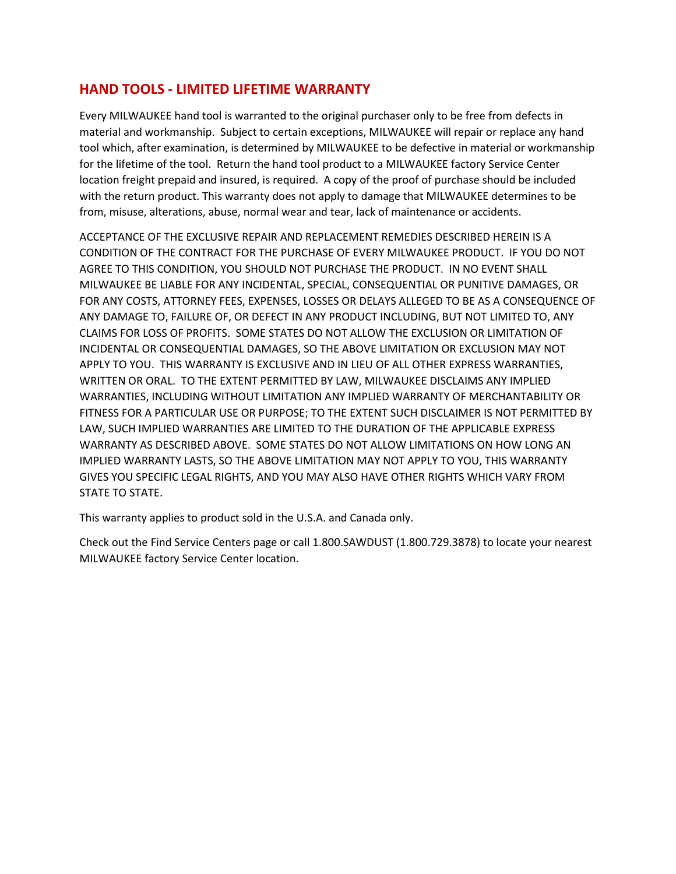#### **HAND TOOLS - LIMITED LIFETIME WARRANTY**

Every MILWAUKEE hand tool is warranted to the original purchaser only to be free from defects in material and workmanship. Subject to certain exceptions, MILWAUKEE will repair or replace any hand tool which, after examination, is determined by MILWAUKEE to be defective in material or workmanship for the lifetime of the tool. Return the hand tool product to a MILWAUKEE factory Service Center location freight prepaid and insured, is required. A copy of the proof of purchase should be included with the return product. This warranty does not apply to damage that MILWAUKEE determines to be from, misuse, alterations, abuse, normal wear and tear, lack of maintenance or accidents.

ACCEPTANCE OF THE EXCLUSIVE REPAIR AND REPLACEMENT REMEDIES DESCRIBED HEREIN IS A CONDITION OF THE CONTRACT FOR THE PURCHASE OF EVERY MILWAUKEE PRODUCT. IF YOU DO NOT AGREE TO THIS CONDITION, YOU SHOULD NOT PURCHASE THE PRODUCT. IN NO EVENT SHALL MILWAUKEE BE LIABLE FOR ANY INCIDENTAL, SPECIAL, CONSEQUENTIAL OR PUNITIVE DAMAGES, OR FOR ANY COSTS, ATTORNEY FEES, EXPENSES, LOSSES OR DELAYS ALLEGED TO BE AS A CONSEQUENCE OF ANY DAMAGE TO, FAILURE OF, OR DEFECT IN ANY PRODUCT INCLUDING, BUT NOT LIMITED TO, ANY CLAIMS FOR LOSS OF PROFITS. SOME STATES DO NOT ALLOW THE EXCLUSION OR LIMITATION OF INCIDENTAL OR CONSEQUENTIAL DAMAGES, SO THE ABOVE LIMITATION OR EXCLUSION MAY NOT APPLY TO YOU. THIS WARRANTY IS EXCLUSIVE AND IN LIEU OF ALL OTHER EXPRESS WARRANTIES, WRITTEN OR ORAL. TO THE EXTENT PERMITTED BY LAW, MILWAUKEE DISCLAIMS ANY IMPLIED WARRANTIES, INCLUDING WITHOUT LIMITATION ANY IMPLIED WARRANTY OF MERCHANTABILITY OR FITNESS FOR A PARTICULAR USE OR PURPOSE; TO THE EXTENT SUCH DISCLAIMER IS NOT PERMITTED BY LAW, SUCH IMPLIED WARRANTIES ARE LIMITED TO THE DURATION OF THE APPLICABLE EXPRESS WARRANTY AS DESCRIBED ABOVE. SOME STATES DO NOT ALLOW LIMITATIONS ON HOW LONG AN IMPLIED WARRANTY LASTS, SO THE ABOVE LIMITATION MAY NOT APPLY TO YOU, THIS WARRANTY GIVES YOU SPECIFIC LEGAL RIGHTS, AND YOU MAY ALSO HAVE OTHER RIGHTS WHICH VARY FROM STATE TO STATE.

This warranty applies to product sold in the U.S.A. and Canada only.

Check out the Find Service Centers page or call 1.800.SAWDUST (1.800.729.3878) to locate your nearest MILWAUKEE factory Service Center location.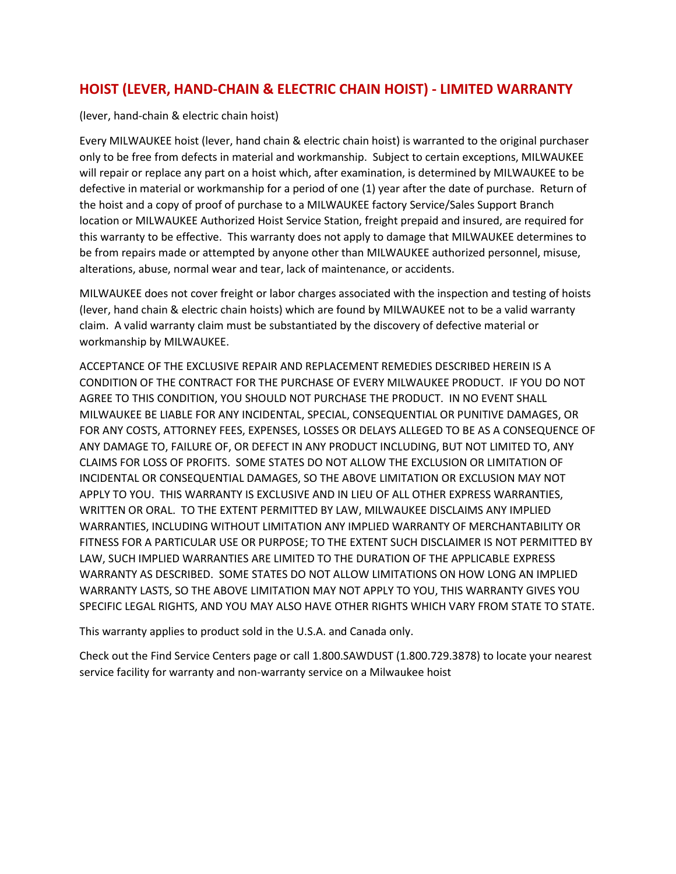#### **HOIST (LEVER, HAND-CHAIN & ELECTRIC CHAIN HOIST) - LIMITED WARRANTY**

(lever, hand-chain & electric chain hoist)

Every MILWAUKEE hoist (lever, hand chain & electric chain hoist) is warranted to the original purchaser only to be free from defects in material and workmanship. Subject to certain exceptions, MILWAUKEE will repair or replace any part on a hoist which, after examination, is determined by MILWAUKEE to be defective in material or workmanship for a period of one (1) year after the date of purchase. Return of the hoist and a copy of proof of purchase to a MILWAUKEE factory Service/Sales Support Branch location or MILWAUKEE Authorized Hoist Service Station, freight prepaid and insured, are required for this warranty to be effective. This warranty does not apply to damage that MILWAUKEE determines to be from repairs made or attempted by anyone other than MILWAUKEE authorized personnel, misuse, alterations, abuse, normal wear and tear, lack of maintenance, or accidents.

MILWAUKEE does not cover freight or labor charges associated with the inspection and testing of hoists (lever, hand chain & electric chain hoists) which are found by MILWAUKEE not to be a valid warranty claim. A valid warranty claim must be substantiated by the discovery of defective material or workmanship by MILWAUKEE.

ACCEPTANCE OF THE EXCLUSIVE REPAIR AND REPLACEMENT REMEDIES DESCRIBED HEREIN IS A CONDITION OF THE CONTRACT FOR THE PURCHASE OF EVERY MILWAUKEE PRODUCT. IF YOU DO NOT AGREE TO THIS CONDITION, YOU SHOULD NOT PURCHASE THE PRODUCT. IN NO EVENT SHALL MILWAUKEE BE LIABLE FOR ANY INCIDENTAL, SPECIAL, CONSEQUENTIAL OR PUNITIVE DAMAGES, OR FOR ANY COSTS, ATTORNEY FEES, EXPENSES, LOSSES OR DELAYS ALLEGED TO BE AS A CONSEQUENCE OF ANY DAMAGE TO, FAILURE OF, OR DEFECT IN ANY PRODUCT INCLUDING, BUT NOT LIMITED TO, ANY CLAIMS FOR LOSS OF PROFITS. SOME STATES DO NOT ALLOW THE EXCLUSION OR LIMITATION OF INCIDENTAL OR CONSEQUENTIAL DAMAGES, SO THE ABOVE LIMITATION OR EXCLUSION MAY NOT APPLY TO YOU. THIS WARRANTY IS EXCLUSIVE AND IN LIEU OF ALL OTHER EXPRESS WARRANTIES, WRITTEN OR ORAL. TO THE EXTENT PERMITTED BY LAW, MILWAUKEE DISCLAIMS ANY IMPLIED WARRANTIES, INCLUDING WITHOUT LIMITATION ANY IMPLIED WARRANTY OF MERCHANTABILITY OR FITNESS FOR A PARTICULAR USE OR PURPOSE; TO THE EXTENT SUCH DISCLAIMER IS NOT PERMITTED BY LAW, SUCH IMPLIED WARRANTIES ARE LIMITED TO THE DURATION OF THE APPLICABLE EXPRESS WARRANTY AS DESCRIBED. SOME STATES DO NOT ALLOW LIMITATIONS ON HOW LONG AN IMPLIED WARRANTY LASTS, SO THE ABOVE LIMITATION MAY NOT APPLY TO YOU, THIS WARRANTY GIVES YOU SPECIFIC LEGAL RIGHTS, AND YOU MAY ALSO HAVE OTHER RIGHTS WHICH VARY FROM STATE TO STATE.

This warranty applies to product sold in the U.S.A. and Canada only.

Check out the Find Service Centers page or call 1.800.SAWDUST (1.800.729.3878) to locate your nearest service facility for warranty and non-warranty service on a Milwaukee hoist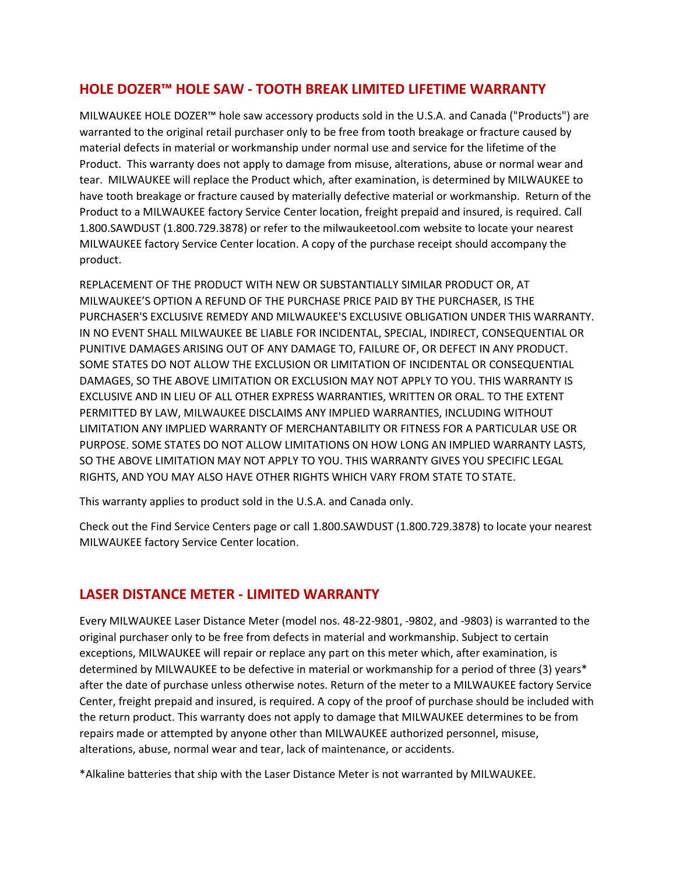#### **HOLE DOZER™ HOLE SAW - TOOTH BREAK LIMITED LIFETIME WARRANTY**

MILWAUKEE HOLE DOZER™ hole saw accessory products sold in the U.S.A. and Canada ("Products") are warranted to the original retail purchaser only to be free from tooth breakage or fracture caused by material defects in material or workmanship under normal use and service for the lifetime of the Product. This warranty does not apply to damage from misuse, alterations, abuse or normal wear and tear. MILWAUKEE will replace the Product which, after examination, is determined by MILWAUKEE to have tooth breakage or fracture caused by materially defective material or workmanship. Return of the Product to a MILWAUKEE factory Service Center location, freight prepaid and insured, is required. Call 1.800.SAWDUST (1.800.729.3878) or refer to the milwaukeetool.com website to locate your nearest MILWAUKEE factory Service Center location. A copy of the purchase receipt should accompany the product.

REPLACEMENT OF THE PRODUCT WITH NEW OR SUBSTANTIALLY SIMILAR PRODUCT OR, AT MILWAUKEE'S OPTION A REFUND OF THE PURCHASE PRICE PAID BY THE PURCHASER, IS THE PURCHASER'S EXCLUSIVE REMEDY AND MILWAUKEE'S EXCLUSIVE OBLIGATION UNDER THIS WARRANTY. IN NO EVENT SHALL MILWAUKEE BE LIABLE FOR INCIDENTAL, SPECIAL, INDIRECT, CONSEQUENTIAL OR PUNITIVE DAMAGES ARISING OUT OF ANY DAMAGE TO, FAILURE OF, OR DEFECT IN ANY PRODUCT. SOME STATES DO NOT ALLOW THE EXCLUSION OR LIMITATION OF INCIDENTAL OR CONSEQUENTIAL DAMAGES, SO THE ABOVE LIMITATION OR EXCLUSION MAY NOT APPLY TO YOU. THIS WARRANTY IS EXCLUSIVE AND IN LIEU OF ALL OTHER EXPRESS WARRANTIES, WRITTEN OR ORAL. TO THE EXTENT PERMITTED BY LAW, MILWAUKEE DISCLAIMS ANY IMPLIED WARRANTIES, INCLUDING WITHOUT LIMITATION ANY IMPLIED WARRANTY OF MERCHANTABILITY OR FITNESS FOR A PARTICULAR USE OR PURPOSE. SOME STATES DO NOT ALLOW LIMITATIONS ON HOW LONG AN IMPLIED WARRANTY LASTS, SO THE ABOVE LIMITATION MAY NOT APPLY TO YOU. THIS WARRANTY GIVES YOU SPECIFIC LEGAL RIGHTS, AND YOU MAY ALSO HAVE OTHER RIGHTS WHICH VARY FROM STATE TO STATE.

This warranty applies to product sold in the U.S.A. and Canada only.

Check out the Find Service Centers page or call 1.800.SAWDUST (1.800.729.3878) to locate your nearest MILWAUKEE factory Service Center location.

#### **LASER DISTANCE METER - LIMITED WARRANTY**

Every MILWAUKEE Laser Distance Meter (model nos. 48‐22‐9801, ‐9802, and ‐9803) is warranted to the original purchaser only to be free from defects in material and workmanship. Subject to certain exceptions, MILWAUKEE will repair or replace any part on this meter which, after examination, is determined by MILWAUKEE to be defective in material or workmanship for a period of three (3) years\* after the date of purchase unless otherwise notes. Return of the meter to a MILWAUKEE factory Service Center, freight prepaid and insured, is required. A copy of the proof of purchase should be included with the return product. This warranty does not apply to damage that MILWAUKEE determines to be from repairs made or attempted by anyone other than MILWAUKEE authorized personnel, misuse, alterations, abuse, normal wear and tear, lack of maintenance, or accidents.

\*Alkaline batteries that ship with the Laser Distance Meter is not warranted by MILWAUKEE.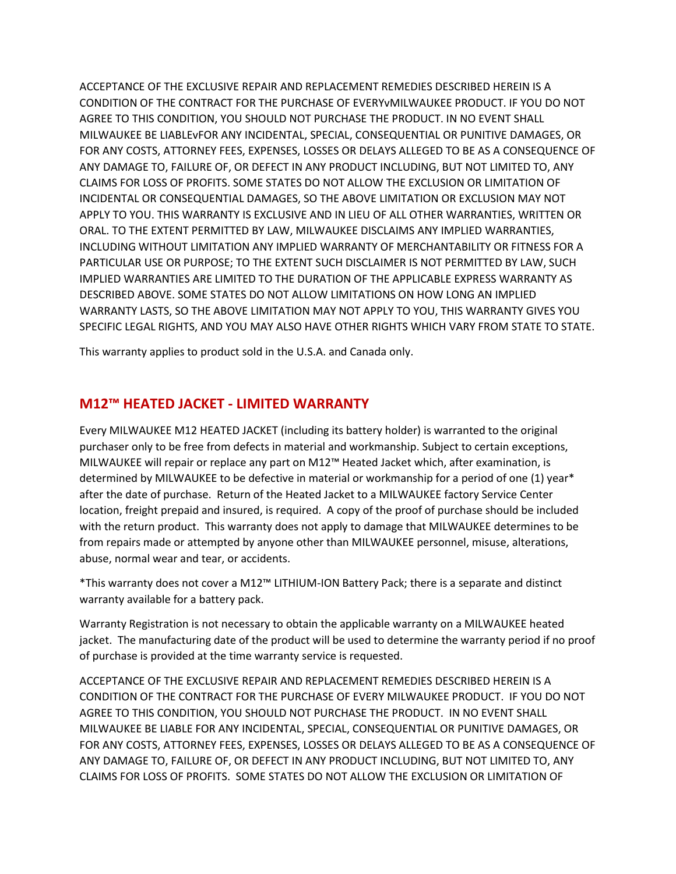ACCEPTANCE OF THE EXCLUSIVE REPAIR AND REPLACEMENT REMEDIES DESCRIBED HEREIN IS A CONDITION OF THE CONTRACT FOR THE PURCHASE OF EVERYvMILWAUKEE PRODUCT. IF YOU DO NOT AGREE TO THIS CONDITION, YOU SHOULD NOT PURCHASE THE PRODUCT. IN NO EVENT SHALL MILWAUKEE BE LIABLEvFOR ANY INCIDENTAL, SPECIAL, CONSEQUENTIAL OR PUNITIVE DAMAGES, OR FOR ANY COSTS, ATTORNEY FEES, EXPENSES, LOSSES OR DELAYS ALLEGED TO BE AS A CONSEQUENCE OF ANY DAMAGE TO, FAILURE OF, OR DEFECT IN ANY PRODUCT INCLUDING, BUT NOT LIMITED TO, ANY CLAIMS FOR LOSS OF PROFITS. SOME STATES DO NOT ALLOW THE EXCLUSION OR LIMITATION OF INCIDENTAL OR CONSEQUENTIAL DAMAGES, SO THE ABOVE LIMITATION OR EXCLUSION MAY NOT APPLY TO YOU. THIS WARRANTY IS EXCLUSIVE AND IN LIEU OF ALL OTHER WARRANTIES, WRITTEN OR ORAL. TO THE EXTENT PERMITTED BY LAW, MILWAUKEE DISCLAIMS ANY IMPLIED WARRANTIES, INCLUDING WITHOUT LIMITATION ANY IMPLIED WARRANTY OF MERCHANTABILITY OR FITNESS FOR A PARTICULAR USE OR PURPOSE; TO THE EXTENT SUCH DISCLAIMER IS NOT PERMITTED BY LAW, SUCH IMPLIED WARRANTIES ARE LIMITED TO THE DURATION OF THE APPLICABLE EXPRESS WARRANTY AS DESCRIBED ABOVE. SOME STATES DO NOT ALLOW LIMITATIONS ON HOW LONG AN IMPLIED WARRANTY LASTS, SO THE ABOVE LIMITATION MAY NOT APPLY TO YOU, THIS WARRANTY GIVES YOU SPECIFIC LEGAL RIGHTS, AND YOU MAY ALSO HAVE OTHER RIGHTS WHICH VARY FROM STATE TO STATE.

This warranty applies to product sold in the U.S.A. and Canada only.

#### **M12™ HEATED JACKET - LIMITED WARRANTY**

Every MILWAUKEE M12 HEATED JACKET (including its battery holder) is warranted to the original purchaser only to be free from defects in material and workmanship. Subject to certain exceptions, MILWAUKEE will repair or replace any part on M12™ Heated Jacket which, after examination, is determined by MILWAUKEE to be defective in material or workmanship for a period of one (1) year\* after the date of purchase. Return of the Heated Jacket to a MILWAUKEE factory Service Center location, freight prepaid and insured, is required. A copy of the proof of purchase should be included with the return product. This warranty does not apply to damage that MILWAUKEE determines to be from repairs made or attempted by anyone other than MILWAUKEE personnel, misuse, alterations, abuse, normal wear and tear, or accidents.

\*This warranty does not cover a M12™ LITHIUM-ION Battery Pack; there is a separate and distinct warranty available for a battery pack.

Warranty Registration is not necessary to obtain the applicable warranty on a MILWAUKEE heated jacket. The manufacturing date of the product will be used to determine the warranty period if no proof of purchase is provided at the time warranty service is requested.

ACCEPTANCE OF THE EXCLUSIVE REPAIR AND REPLACEMENT REMEDIES DESCRIBED HEREIN IS A CONDITION OF THE CONTRACT FOR THE PURCHASE OF EVERY MILWAUKEE PRODUCT. IF YOU DO NOT AGREE TO THIS CONDITION, YOU SHOULD NOT PURCHASE THE PRODUCT. IN NO EVENT SHALL MILWAUKEE BE LIABLE FOR ANY INCIDENTAL, SPECIAL, CONSEQUENTIAL OR PUNITIVE DAMAGES, OR FOR ANY COSTS, ATTORNEY FEES, EXPENSES, LOSSES OR DELAYS ALLEGED TO BE AS A CONSEQUENCE OF ANY DAMAGE TO, FAILURE OF, OR DEFECT IN ANY PRODUCT INCLUDING, BUT NOT LIMITED TO, ANY CLAIMS FOR LOSS OF PROFITS. SOME STATES DO NOT ALLOW THE EXCLUSION OR LIMITATION OF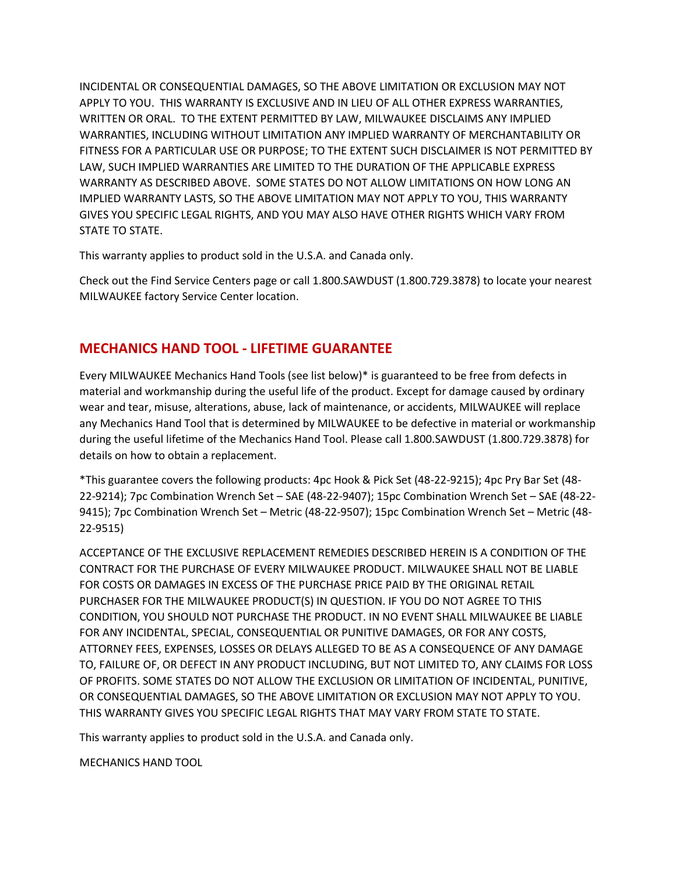INCIDENTAL OR CONSEQUENTIAL DAMAGES, SO THE ABOVE LIMITATION OR EXCLUSION MAY NOT APPLY TO YOU. THIS WARRANTY IS EXCLUSIVE AND IN LIEU OF ALL OTHER EXPRESS WARRANTIES, WRITTEN OR ORAL. TO THE EXTENT PERMITTED BY LAW, MILWAUKEE DISCLAIMS ANY IMPLIED WARRANTIES, INCLUDING WITHOUT LIMITATION ANY IMPLIED WARRANTY OF MERCHANTABILITY OR FITNESS FOR A PARTICULAR USE OR PURPOSE; TO THE EXTENT SUCH DISCLAIMER IS NOT PERMITTED BY LAW, SUCH IMPLIED WARRANTIES ARE LIMITED TO THE DURATION OF THE APPLICABLE EXPRESS WARRANTY AS DESCRIBED ABOVE. SOME STATES DO NOT ALLOW LIMITATIONS ON HOW LONG AN IMPLIED WARRANTY LASTS, SO THE ABOVE LIMITATION MAY NOT APPLY TO YOU, THIS WARRANTY GIVES YOU SPECIFIC LEGAL RIGHTS, AND YOU MAY ALSO HAVE OTHER RIGHTS WHICH VARY FROM STATE TO STATE.

This warranty applies to product sold in the U.S.A. and Canada only.

Check out the Find Service Centers page or call 1.800.SAWDUST (1.800.729.3878) to locate your nearest MILWAUKEE factory Service Center location.

#### **MECHANICS HAND TOOL - LIFETIME GUARANTEE**

Every MILWAUKEE Mechanics Hand Tools (see list below)\* is guaranteed to be free from defects in material and workmanship during the useful life of the product. Except for damage caused by ordinary wear and tear, misuse, alterations, abuse, lack of maintenance, or accidents, MILWAUKEE will replace any Mechanics Hand Tool that is determined by MILWAUKEE to be defective in material or workmanship during the useful lifetime of the Mechanics Hand Tool. Please call 1.800.SAWDUST (1.800.729.3878) for details on how to obtain a replacement.

\*This guarantee covers the following products: 4pc Hook & Pick Set (48-22-9215); 4pc Pry Bar Set (48- 22-9214); 7pc Combination Wrench Set – SAE (48-22-9407); 15pc Combination Wrench Set – SAE (48-22- 9415); 7pc Combination Wrench Set – Metric (48-22-9507); 15pc Combination Wrench Set – Metric (48- 22-9515)

ACCEPTANCE OF THE EXCLUSIVE REPLACEMENT REMEDIES DESCRIBED HEREIN IS A CONDITION OF THE CONTRACT FOR THE PURCHASE OF EVERY MILWAUKEE PRODUCT. MILWAUKEE SHALL NOT BE LIABLE FOR COSTS OR DAMAGES IN EXCESS OF THE PURCHASE PRICE PAID BY THE ORIGINAL RETAIL PURCHASER FOR THE MILWAUKEE PRODUCT(S) IN QUESTION. IF YOU DO NOT AGREE TO THIS CONDITION, YOU SHOULD NOT PURCHASE THE PRODUCT. IN NO EVENT SHALL MILWAUKEE BE LIABLE FOR ANY INCIDENTAL, SPECIAL, CONSEQUENTIAL OR PUNITIVE DAMAGES, OR FOR ANY COSTS, ATTORNEY FEES, EXPENSES, LOSSES OR DELAYS ALLEGED TO BE AS A CONSEQUENCE OF ANY DAMAGE TO, FAILURE OF, OR DEFECT IN ANY PRODUCT INCLUDING, BUT NOT LIMITED TO, ANY CLAIMS FOR LOSS OF PROFITS. SOME STATES DO NOT ALLOW THE EXCLUSION OR LIMITATION OF INCIDENTAL, PUNITIVE, OR CONSEQUENTIAL DAMAGES, SO THE ABOVE LIMITATION OR EXCLUSION MAY NOT APPLY TO YOU. THIS WARRANTY GIVES YOU SPECIFIC LEGAL RIGHTS THAT MAY VARY FROM STATE TO STATE.

This warranty applies to product sold in the U.S.A. and Canada only.

MECHANICS HAND TOOL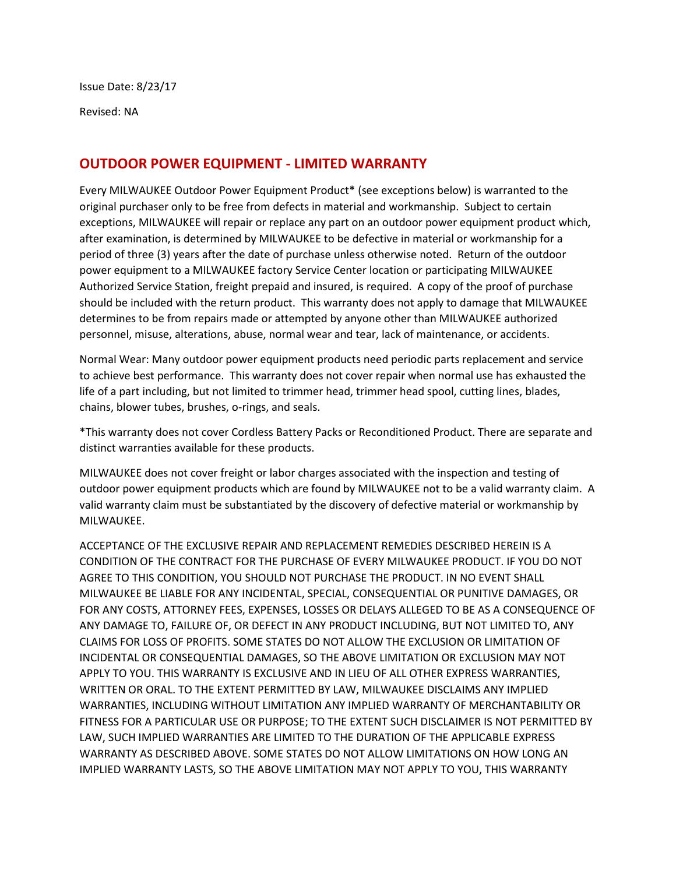Issue Date: 8/23/17

Revised: NA

#### **OUTDOOR POWER EQUIPMENT - LIMITED WARRANTY**

Every MILWAUKEE Outdoor Power Equipment Product\* (see exceptions below) is warranted to the original purchaser only to be free from defects in material and workmanship. Subject to certain exceptions, MILWAUKEE will repair or replace any part on an outdoor power equipment product which, after examination, is determined by MILWAUKEE to be defective in material or workmanship for a period of three (3) years after the date of purchase unless otherwise noted. Return of the outdoor power equipment to a MILWAUKEE factory Service Center location or participating MILWAUKEE Authorized Service Station, freight prepaid and insured, is required. A copy of the proof of purchase should be included with the return product. This warranty does not apply to damage that MILWAUKEE determines to be from repairs made or attempted by anyone other than MILWAUKEE authorized personnel, misuse, alterations, abuse, normal wear and tear, lack of maintenance, or accidents.

Normal Wear: Many outdoor power equipment products need periodic parts replacement and service to achieve best performance. This warranty does not cover repair when normal use has exhausted the life of a part including, but not limited to trimmer head, trimmer head spool, cutting lines, blades, chains, blower tubes, brushes, o-rings, and seals.

\*This warranty does not cover Cordless Battery Packs or Reconditioned Product. There are separate and distinct warranties available for these products.

MILWAUKEE does not cover freight or labor charges associated with the inspection and testing of outdoor power equipment products which are found by MILWAUKEE not to be a valid warranty claim. A valid warranty claim must be substantiated by the discovery of defective material or workmanship by MILWAUKEE.

ACCEPTANCE OF THE EXCLUSIVE REPAIR AND REPLACEMENT REMEDIES DESCRIBED HEREIN IS A CONDITION OF THE CONTRACT FOR THE PURCHASE OF EVERY MILWAUKEE PRODUCT. IF YOU DO NOT AGREE TO THIS CONDITION, YOU SHOULD NOT PURCHASE THE PRODUCT. IN NO EVENT SHALL MILWAUKEE BE LIABLE FOR ANY INCIDENTAL, SPECIAL, CONSEQUENTIAL OR PUNITIVE DAMAGES, OR FOR ANY COSTS, ATTORNEY FEES, EXPENSES, LOSSES OR DELAYS ALLEGED TO BE AS A CONSEQUENCE OF ANY DAMAGE TO, FAILURE OF, OR DEFECT IN ANY PRODUCT INCLUDING, BUT NOT LIMITED TO, ANY CLAIMS FOR LOSS OF PROFITS. SOME STATES DO NOT ALLOW THE EXCLUSION OR LIMITATION OF INCIDENTAL OR CONSEQUENTIAL DAMAGES, SO THE ABOVE LIMITATION OR EXCLUSION MAY NOT APPLY TO YOU. THIS WARRANTY IS EXCLUSIVE AND IN LIEU OF ALL OTHER EXPRESS WARRANTIES, WRITTEN OR ORAL. TO THE EXTENT PERMITTED BY LAW, MILWAUKEE DISCLAIMS ANY IMPLIED WARRANTIES, INCLUDING WITHOUT LIMITATION ANY IMPLIED WARRANTY OF MERCHANTABILITY OR FITNESS FOR A PARTICULAR USE OR PURPOSE; TO THE EXTENT SUCH DISCLAIMER IS NOT PERMITTED BY LAW, SUCH IMPLIED WARRANTIES ARE LIMITED TO THE DURATION OF THE APPLICABLE EXPRESS WARRANTY AS DESCRIBED ABOVE. SOME STATES DO NOT ALLOW LIMITATIONS ON HOW LONG AN IMPLIED WARRANTY LASTS, SO THE ABOVE LIMITATION MAY NOT APPLY TO YOU, THIS WARRANTY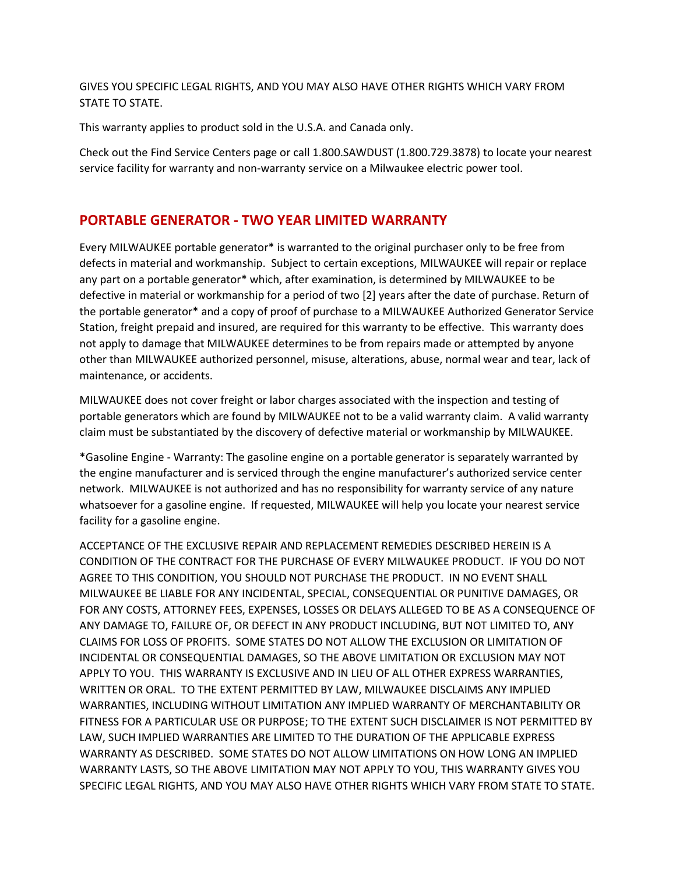GIVES YOU SPECIFIC LEGAL RIGHTS, AND YOU MAY ALSO HAVE OTHER RIGHTS WHICH VARY FROM STATE TO STATE.

This warranty applies to product sold in the U.S.A. and Canada only.

Check out the Find Service Centers page or call 1.800.SAWDUST (1.800.729.3878) to locate your nearest service facility for warranty and non-warranty service on a Milwaukee electric power tool.

#### **PORTABLE GENERATOR - TWO YEAR LIMITED WARRANTY**

Every MILWAUKEE portable generator\* is warranted to the original purchaser only to be free from defects in material and workmanship. Subject to certain exceptions, MILWAUKEE will repair or replace any part on a portable generator\* which, after examination, is determined by MILWAUKEE to be defective in material or workmanship for a period of two [2] years after the date of purchase. Return of the portable generator\* and a copy of proof of purchase to a MILWAUKEE Authorized Generator Service Station, freight prepaid and insured, are required for this warranty to be effective. This warranty does not apply to damage that MILWAUKEE determines to be from repairs made or attempted by anyone other than MILWAUKEE authorized personnel, misuse, alterations, abuse, normal wear and tear, lack of maintenance, or accidents.

MILWAUKEE does not cover freight or labor charges associated with the inspection and testing of portable generators which are found by MILWAUKEE not to be a valid warranty claim. A valid warranty claim must be substantiated by the discovery of defective material or workmanship by MILWAUKEE.

\*Gasoline Engine - Warranty: The gasoline engine on a portable generator is separately warranted by the engine manufacturer and is serviced through the engine manufacturer's authorized service center network. MILWAUKEE is not authorized and has no responsibility for warranty service of any nature whatsoever for a gasoline engine. If requested, MILWAUKEE will help you locate your nearest service facility for a gasoline engine.

ACCEPTANCE OF THE EXCLUSIVE REPAIR AND REPLACEMENT REMEDIES DESCRIBED HEREIN IS A CONDITION OF THE CONTRACT FOR THE PURCHASE OF EVERY MILWAUKEE PRODUCT. IF YOU DO NOT AGREE TO THIS CONDITION, YOU SHOULD NOT PURCHASE THE PRODUCT. IN NO EVENT SHALL MILWAUKEE BE LIABLE FOR ANY INCIDENTAL, SPECIAL, CONSEQUENTIAL OR PUNITIVE DAMAGES, OR FOR ANY COSTS, ATTORNEY FEES, EXPENSES, LOSSES OR DELAYS ALLEGED TO BE AS A CONSEQUENCE OF ANY DAMAGE TO, FAILURE OF, OR DEFECT IN ANY PRODUCT INCLUDING, BUT NOT LIMITED TO, ANY CLAIMS FOR LOSS OF PROFITS. SOME STATES DO NOT ALLOW THE EXCLUSION OR LIMITATION OF INCIDENTAL OR CONSEQUENTIAL DAMAGES, SO THE ABOVE LIMITATION OR EXCLUSION MAY NOT APPLY TO YOU. THIS WARRANTY IS EXCLUSIVE AND IN LIEU OF ALL OTHER EXPRESS WARRANTIES, WRITTEN OR ORAL. TO THE EXTENT PERMITTED BY LAW, MILWAUKEE DISCLAIMS ANY IMPLIED WARRANTIES, INCLUDING WITHOUT LIMITATION ANY IMPLIED WARRANTY OF MERCHANTABILITY OR FITNESS FOR A PARTICULAR USE OR PURPOSE; TO THE EXTENT SUCH DISCLAIMER IS NOT PERMITTED BY LAW, SUCH IMPLIED WARRANTIES ARE LIMITED TO THE DURATION OF THE APPLICABLE EXPRESS WARRANTY AS DESCRIBED. SOME STATES DO NOT ALLOW LIMITATIONS ON HOW LONG AN IMPLIED WARRANTY LASTS, SO THE ABOVE LIMITATION MAY NOT APPLY TO YOU, THIS WARRANTY GIVES YOU SPECIFIC LEGAL RIGHTS, AND YOU MAY ALSO HAVE OTHER RIGHTS WHICH VARY FROM STATE TO STATE.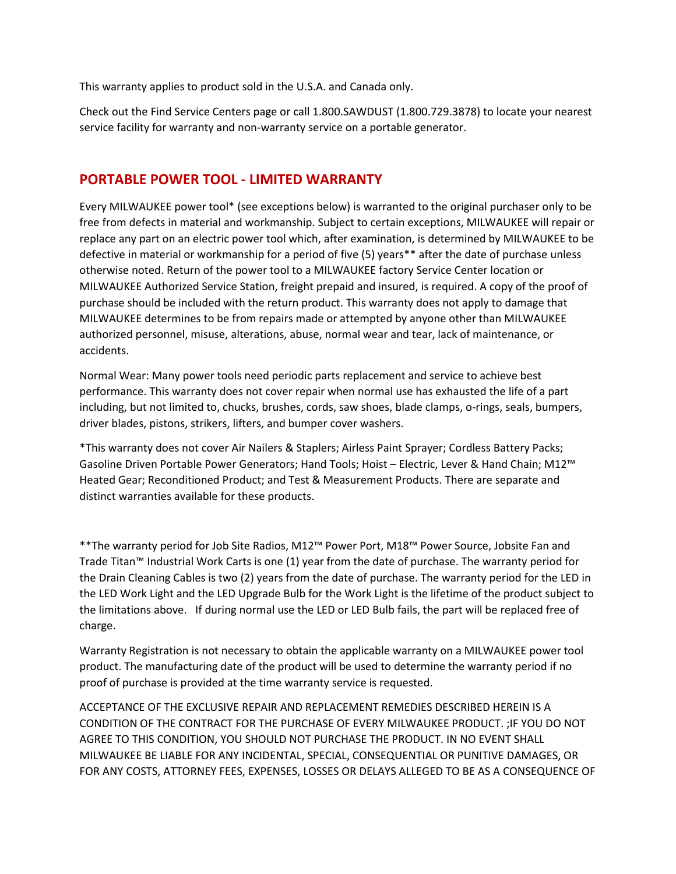This warranty applies to product sold in the U.S.A. and Canada only.

Check out the Find Service Centers page or call 1.800.SAWDUST (1.800.729.3878) to locate your nearest service facility for warranty and non-warranty service on a portable generator.

#### **PORTABLE POWER TOOL - LIMITED WARRANTY**

Every MILWAUKEE power tool\* (see exceptions below) is warranted to the original purchaser only to be free from defects in material and workmanship. Subject to certain exceptions, MILWAUKEE will repair or replace any part on an electric power tool which, after examination, is determined by MILWAUKEE to be defective in material or workmanship for a period of five (5) years\*\* after the date of purchase unless otherwise noted. Return of the power tool to a MILWAUKEE factory Service Center location or MILWAUKEE Authorized Service Station, freight prepaid and insured, is required. A copy of the proof of purchase should be included with the return product. This warranty does not apply to damage that MILWAUKEE determines to be from repairs made or attempted by anyone other than MILWAUKEE authorized personnel, misuse, alterations, abuse, normal wear and tear, lack of maintenance, or accidents.

Normal Wear: Many power tools need periodic parts replacement and service to achieve best performance. This warranty does not cover repair when normal use has exhausted the life of a part including, but not limited to, chucks, brushes, cords, saw shoes, blade clamps, o-rings, seals, bumpers, driver blades, pistons, strikers, lifters, and bumper cover washers.

\*This warranty does not cover Air Nailers & Staplers; Airless Paint Sprayer; Cordless Battery Packs; Gasoline Driven Portable Power Generators; Hand Tools; Hoist – Electric, Lever & Hand Chain; M12™ Heated Gear; Reconditioned Product; and Test & Measurement Products. There are separate and distinct warranties available for these products.

\*\*The warranty period for Job Site Radios, M12™ Power Port, M18™ Power Source, Jobsite Fan and Trade Titan™ Industrial Work Carts is one (1) year from the date of purchase. The warranty period for the Drain Cleaning Cables is two (2) years from the date of purchase. The warranty period for the LED in the LED Work Light and the LED Upgrade Bulb for the Work Light is the lifetime of the product subject to the limitations above. If during normal use the LED or LED Bulb fails, the part will be replaced free of charge.

Warranty Registration is not necessary to obtain the applicable warranty on a MILWAUKEE power tool product. The manufacturing date of the product will be used to determine the warranty period if no proof of purchase is provided at the time warranty service is requested.

ACCEPTANCE OF THE EXCLUSIVE REPAIR AND REPLACEMENT REMEDIES DESCRIBED HEREIN IS A CONDITION OF THE CONTRACT FOR THE PURCHASE OF EVERY MILWAUKEE PRODUCT. ;IF YOU DO NOT AGREE TO THIS CONDITION, YOU SHOULD NOT PURCHASE THE PRODUCT. IN NO EVENT SHALL MILWAUKEE BE LIABLE FOR ANY INCIDENTAL, SPECIAL, CONSEQUENTIAL OR PUNITIVE DAMAGES, OR FOR ANY COSTS, ATTORNEY FEES, EXPENSES, LOSSES OR DELAYS ALLEGED TO BE AS A CONSEQUENCE OF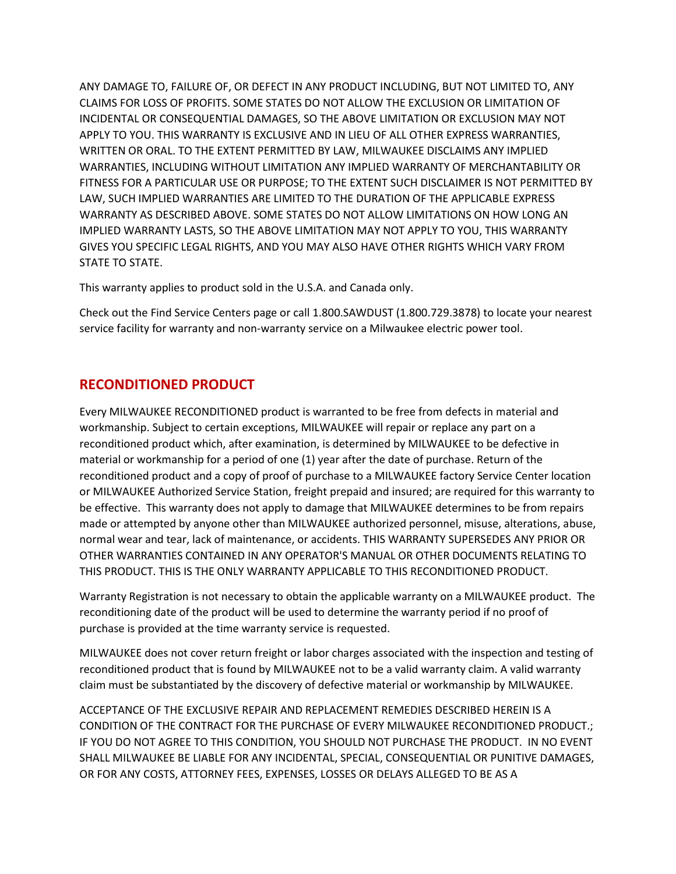ANY DAMAGE TO, FAILURE OF, OR DEFECT IN ANY PRODUCT INCLUDING, BUT NOT LIMITED TO, ANY CLAIMS FOR LOSS OF PROFITS. SOME STATES DO NOT ALLOW THE EXCLUSION OR LIMITATION OF INCIDENTAL OR CONSEQUENTIAL DAMAGES, SO THE ABOVE LIMITATION OR EXCLUSION MAY NOT APPLY TO YOU. THIS WARRANTY IS EXCLUSIVE AND IN LIEU OF ALL OTHER EXPRESS WARRANTIES, WRITTEN OR ORAL. TO THE EXTENT PERMITTED BY LAW, MILWAUKEE DISCLAIMS ANY IMPLIED WARRANTIES, INCLUDING WITHOUT LIMITATION ANY IMPLIED WARRANTY OF MERCHANTABILITY OR FITNESS FOR A PARTICULAR USE OR PURPOSE; TO THE EXTENT SUCH DISCLAIMER IS NOT PERMITTED BY LAW, SUCH IMPLIED WARRANTIES ARE LIMITED TO THE DURATION OF THE APPLICABLE EXPRESS WARRANTY AS DESCRIBED ABOVE. SOME STATES DO NOT ALLOW LIMITATIONS ON HOW LONG AN IMPLIED WARRANTY LASTS, SO THE ABOVE LIMITATION MAY NOT APPLY TO YOU, THIS WARRANTY GIVES YOU SPECIFIC LEGAL RIGHTS, AND YOU MAY ALSO HAVE OTHER RIGHTS WHICH VARY FROM STATE TO STATE.

This warranty applies to product sold in the U.S.A. and Canada only.

Check out the Find Service Centers page or call 1.800.SAWDUST (1.800.729.3878) to locate your nearest service facility for warranty and non-warranty service on a Milwaukee electric power tool.

#### **RECONDITIONED PRODUCT**

Every MILWAUKEE RECONDITIONED product is warranted to be free from defects in material and workmanship. Subject to certain exceptions, MILWAUKEE will repair or replace any part on a reconditioned product which, after examination, is determined by MILWAUKEE to be defective in material or workmanship for a period of one (1) year after the date of purchase. Return of the reconditioned product and a copy of proof of purchase to a MILWAUKEE factory Service Center location or MILWAUKEE Authorized Service Station, freight prepaid and insured; are required for this warranty to be effective. This warranty does not apply to damage that MILWAUKEE determines to be from repairs made or attempted by anyone other than MILWAUKEE authorized personnel, misuse, alterations, abuse, normal wear and tear, lack of maintenance, or accidents. THIS WARRANTY SUPERSEDES ANY PRIOR OR OTHER WARRANTIES CONTAINED IN ANY OPERATOR'S MANUAL OR OTHER DOCUMENTS RELATING TO THIS PRODUCT. THIS IS THE ONLY WARRANTY APPLICABLE TO THIS RECONDITIONED PRODUCT.

Warranty Registration is not necessary to obtain the applicable warranty on a MILWAUKEE product. The reconditioning date of the product will be used to determine the warranty period if no proof of purchase is provided at the time warranty service is requested.

MILWAUKEE does not cover return freight or labor charges associated with the inspection and testing of reconditioned product that is found by MILWAUKEE not to be a valid warranty claim. A valid warranty claim must be substantiated by the discovery of defective material or workmanship by MILWAUKEE.

ACCEPTANCE OF THE EXCLUSIVE REPAIR AND REPLACEMENT REMEDIES DESCRIBED HEREIN IS A CONDITION OF THE CONTRACT FOR THE PURCHASE OF EVERY MILWAUKEE RECONDITIONED PRODUCT.; IF YOU DO NOT AGREE TO THIS CONDITION, YOU SHOULD NOT PURCHASE THE PRODUCT. IN NO EVENT SHALL MILWAUKEE BE LIABLE FOR ANY INCIDENTAL, SPECIAL, CONSEQUENTIAL OR PUNITIVE DAMAGES, OR FOR ANY COSTS, ATTORNEY FEES, EXPENSES, LOSSES OR DELAYS ALLEGED TO BE AS A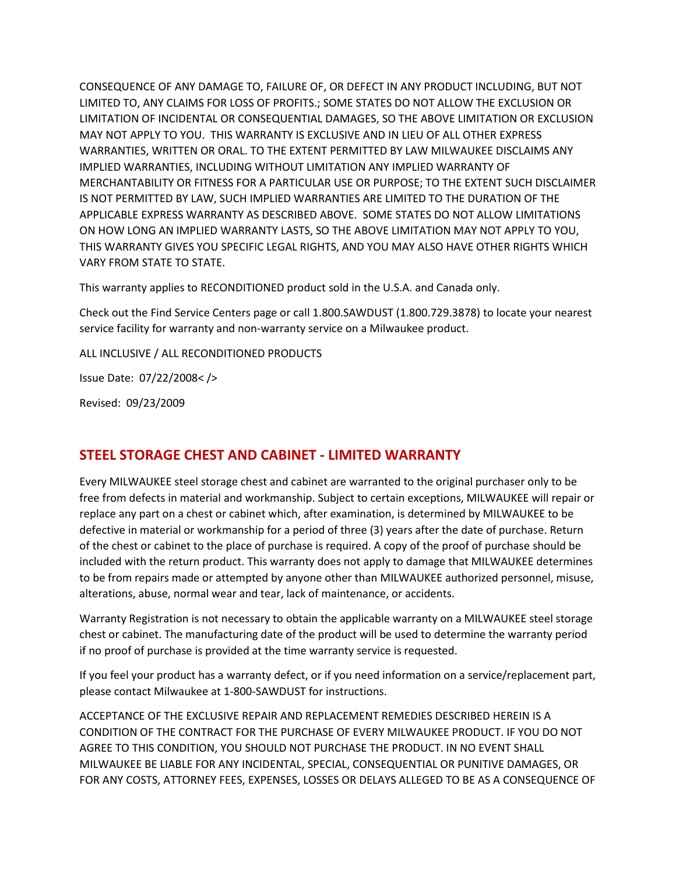CONSEQUENCE OF ANY DAMAGE TO, FAILURE OF, OR DEFECT IN ANY PRODUCT INCLUDING, BUT NOT LIMITED TO, ANY CLAIMS FOR LOSS OF PROFITS.; SOME STATES DO NOT ALLOW THE EXCLUSION OR LIMITATION OF INCIDENTAL OR CONSEQUENTIAL DAMAGES, SO THE ABOVE LIMITATION OR EXCLUSION MAY NOT APPLY TO YOU. THIS WARRANTY IS EXCLUSIVE AND IN LIEU OF ALL OTHER EXPRESS WARRANTIES, WRITTEN OR ORAL. TO THE EXTENT PERMITTED BY LAW MILWAUKEE DISCLAIMS ANY IMPLIED WARRANTIES, INCLUDING WITHOUT LIMITATION ANY IMPLIED WARRANTY OF MERCHANTABILITY OR FITNESS FOR A PARTICULAR USE OR PURPOSE; TO THE EXTENT SUCH DISCLAIMER IS NOT PERMITTED BY LAW, SUCH IMPLIED WARRANTIES ARE LIMITED TO THE DURATION OF THE APPLICABLE EXPRESS WARRANTY AS DESCRIBED ABOVE. SOME STATES DO NOT ALLOW LIMITATIONS ON HOW LONG AN IMPLIED WARRANTY LASTS, SO THE ABOVE LIMITATION MAY NOT APPLY TO YOU, THIS WARRANTY GIVES YOU SPECIFIC LEGAL RIGHTS, AND YOU MAY ALSO HAVE OTHER RIGHTS WHICH VARY FROM STATE TO STATE.

This warranty applies to RECONDITIONED product sold in the U.S.A. and Canada only.

Check out the Find Service Centers page or call 1.800.SAWDUST (1.800.729.3878) to locate your nearest service facility for warranty and non-warranty service on a Milwaukee product.

ALL INCLUSIVE / ALL RECONDITIONED PRODUCTS

Issue Date: 07/22/2008< />

Revised: 09/23/2009

#### **STEEL STORAGE CHEST AND CABINET - LIMITED WARRANTY**

Every MILWAUKEE steel storage chest and cabinet are warranted to the original purchaser only to be free from defects in material and workmanship. Subject to certain exceptions, MILWAUKEE will repair or replace any part on a chest or cabinet which, after examination, is determined by MILWAUKEE to be defective in material or workmanship for a period of three (3) years after the date of purchase. Return of the chest or cabinet to the place of purchase is required. A copy of the proof of purchase should be included with the return product. This warranty does not apply to damage that MILWAUKEE determines to be from repairs made or attempted by anyone other than MILWAUKEE authorized personnel, misuse, alterations, abuse, normal wear and tear, lack of maintenance, or accidents.

Warranty Registration is not necessary to obtain the applicable warranty on a MILWAUKEE steel storage chest or cabinet. The manufacturing date of the product will be used to determine the warranty period if no proof of purchase is provided at the time warranty service is requested.

If you feel your product has a warranty defect, or if you need information on a service/replacement part, please contact Milwaukee at 1-800-SAWDUST for instructions.

ACCEPTANCE OF THE EXCLUSIVE REPAIR AND REPLACEMENT REMEDIES DESCRIBED HEREIN IS A CONDITION OF THE CONTRACT FOR THE PURCHASE OF EVERY MILWAUKEE PRODUCT. IF YOU DO NOT AGREE TO THIS CONDITION, YOU SHOULD NOT PURCHASE THE PRODUCT. IN NO EVENT SHALL MILWAUKEE BE LIABLE FOR ANY INCIDENTAL, SPECIAL, CONSEQUENTIAL OR PUNITIVE DAMAGES, OR FOR ANY COSTS, ATTORNEY FEES, EXPENSES, LOSSES OR DELAYS ALLEGED TO BE AS A CONSEQUENCE OF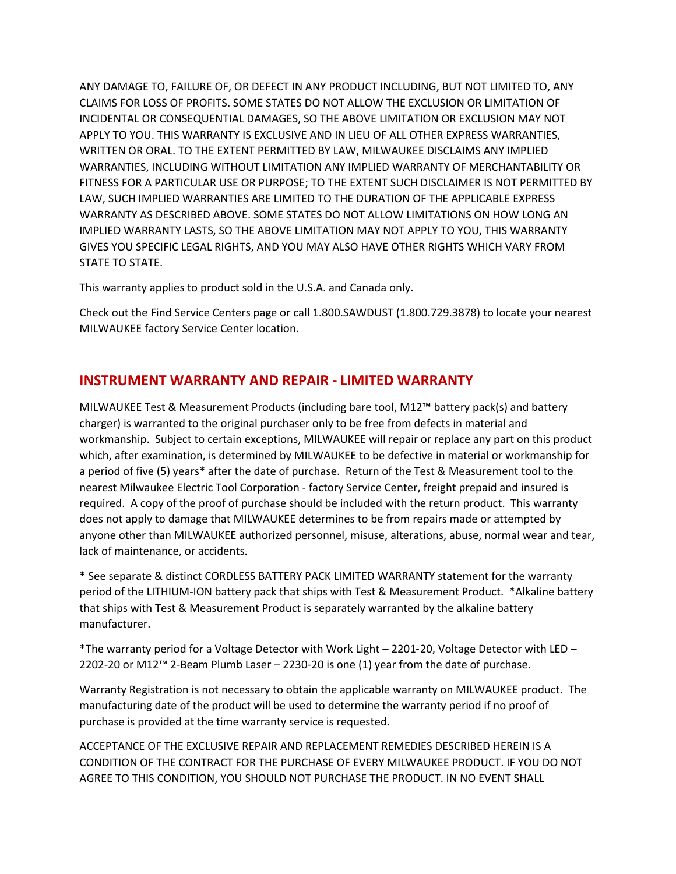ANY DAMAGE TO, FAILURE OF, OR DEFECT IN ANY PRODUCT INCLUDING, BUT NOT LIMITED TO, ANY CLAIMS FOR LOSS OF PROFITS. SOME STATES DO NOT ALLOW THE EXCLUSION OR LIMITATION OF INCIDENTAL OR CONSEQUENTIAL DAMAGES, SO THE ABOVE LIMITATION OR EXCLUSION MAY NOT APPLY TO YOU. THIS WARRANTY IS EXCLUSIVE AND IN LIEU OF ALL OTHER EXPRESS WARRANTIES, WRITTEN OR ORAL. TO THE EXTENT PERMITTED BY LAW, MILWAUKEE DISCLAIMS ANY IMPLIED WARRANTIES, INCLUDING WITHOUT LIMITATION ANY IMPLIED WARRANTY OF MERCHANTABILITY OR FITNESS FOR A PARTICULAR USE OR PURPOSE; TO THE EXTENT SUCH DISCLAIMER IS NOT PERMITTED BY LAW, SUCH IMPLIED WARRANTIES ARE LIMITED TO THE DURATION OF THE APPLICABLE EXPRESS WARRANTY AS DESCRIBED ABOVE. SOME STATES DO NOT ALLOW LIMITATIONS ON HOW LONG AN IMPLIED WARRANTY LASTS, SO THE ABOVE LIMITATION MAY NOT APPLY TO YOU, THIS WARRANTY GIVES YOU SPECIFIC LEGAL RIGHTS, AND YOU MAY ALSO HAVE OTHER RIGHTS WHICH VARY FROM STATE TO STATE.

This warranty applies to product sold in the U.S.A. and Canada only.

Check out the Find Service Centers page or call 1.800.SAWDUST (1.800.729.3878) to locate your nearest MILWAUKEE factory Service Center location.

#### **INSTRUMENT WARRANTY AND REPAIR - LIMITED WARRANTY**

MILWAUKEE Test & Measurement Products (including bare tool, M12™ battery pack(s) and battery charger) is warranted to the original purchaser only to be free from defects in material and workmanship. Subject to certain exceptions, MILWAUKEE will repair or replace any part on this product which, after examination, is determined by MILWAUKEE to be defective in material or workmanship for a period of five (5) years\* after the date of purchase. Return of the Test & Measurement tool to the nearest Milwaukee Electric Tool Corporation - factory Service Center, freight prepaid and insured is required. A copy of the proof of purchase should be included with the return product. This warranty does not apply to damage that MILWAUKEE determines to be from repairs made or attempted by anyone other than MILWAUKEE authorized personnel, misuse, alterations, abuse, normal wear and tear, lack of maintenance, or accidents.

\* See separate & distinct CORDLESS BATTERY PACK LIMITED WARRANTY statement for the warranty period of the LITHIUM-ION battery pack that ships with Test & Measurement Product. \*Alkaline battery that ships with Test & Measurement Product is separately warranted by the alkaline battery manufacturer.

\*The warranty period for a Voltage Detector with Work Light – 2201‑20, Voltage Detector with LED – 2202-20 or M12™ 2-Beam Plumb Laser – 2230‑20 is one (1) year from the date of purchase.

Warranty Registration is not necessary to obtain the applicable warranty on MILWAUKEE product. The manufacturing date of the product will be used to determine the warranty period if no proof of purchase is provided at the time warranty service is requested.

ACCEPTANCE OF THE EXCLUSIVE REPAIR AND REPLACEMENT REMEDIES DESCRIBED HEREIN IS A CONDITION OF THE CONTRACT FOR THE PURCHASE OF EVERY MILWAUKEE PRODUCT. IF YOU DO NOT AGREE TO THIS CONDITION, YOU SHOULD NOT PURCHASE THE PRODUCT. IN NO EVENT SHALL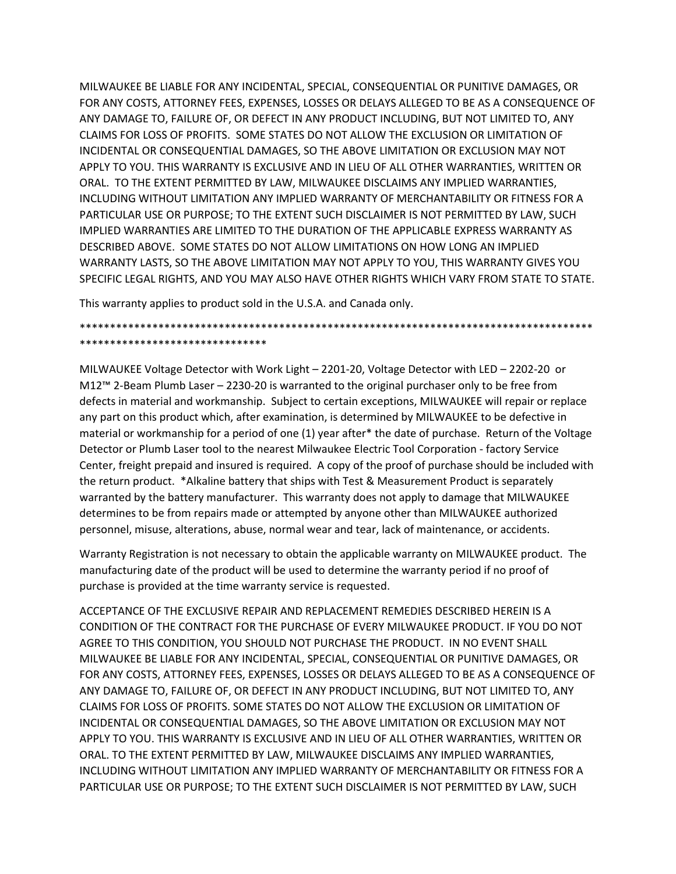MILWAUKEE BE LIABLE FOR ANY INCIDENTAL, SPECIAL, CONSEQUENTIAL OR PUNITIVE DAMAGES, OR FOR ANY COSTS, ATTORNEY FEES, EXPENSES, LOSSES OR DELAYS ALLEGED TO BE AS A CONSEQUENCE OF ANY DAMAGE TO, FAILURE OF, OR DEFECT IN ANY PRODUCT INCLUDING, BUT NOT LIMITED TO, ANY CLAIMS FOR LOSS OF PROFITS. SOME STATES DO NOT ALLOW THE EXCLUSION OR LIMITATION OF INCIDENTAL OR CONSEQUENTIAL DAMAGES, SO THE ABOVE LIMITATION OR EXCLUSION MAY NOT APPLY TO YOU. THIS WARRANTY IS EXCLUSIVE AND IN LIEU OF ALL OTHER WARRANTIES, WRITTEN OR ORAL. TO THE EXTENT PERMITTED BY LAW, MILWAUKEE DISCLAIMS ANY IMPLIED WARRANTIES, INCLUDING WITHOUT LIMITATION ANY IMPLIED WARRANTY OF MERCHANTABILITY OR FITNESS FOR A PARTICULAR USE OR PURPOSE; TO THE EXTENT SUCH DISCLAIMER IS NOT PERMITTED BY LAW, SUCH IMPLIED WARRANTIES ARE LIMITED TO THE DURATION OF THE APPLICABLE EXPRESS WARRANTY AS DESCRIBED ABOVE. SOME STATES DO NOT ALLOW LIMITATIONS ON HOW LONG AN IMPLIED WARRANTY LASTS, SO THE ABOVE LIMITATION MAY NOT APPLY TO YOU, THIS WARRANTY GIVES YOU SPECIFIC LEGAL RIGHTS, AND YOU MAY ALSO HAVE OTHER RIGHTS WHICH VARY FROM STATE TO STATE.

This warranty applies to product sold in the U.S.A. and Canada only.

#### \*\*\*\*\*\*\*\*\*\*\*\*\*\*\*\*\*\*\*\*\*\*\*\*\*\*\*\*\*\*\*\*\*\*\*\*\*\*\*\*\*\*\*\*\*\*\*\*\*\*\*\*\*\*\*\*\*\*\*\*\*\*\*\*\*\*\*\*\*\*\*\*\*\*\*\*\*\*\*\*\*\*\*\*\* \*\*\*\*\*\*\*\*\*\*\*\*\*\*\*\*\*\*\*\*\*\*\*\*\*\*\*\*\*\*\*

MILWAUKEE Voltage Detector with Work Light – 2201-20, Voltage Detector with LED – 2202-20 or M12™ 2-Beam Plumb Laser – 2230-20 is warranted to the original purchaser only to be free from defects in material and workmanship. Subject to certain exceptions, MILWAUKEE will repair or replace any part on this product which, after examination, is determined by MILWAUKEE to be defective in material or workmanship for a period of one (1) year after\* the date of purchase. Return of the Voltage Detector or Plumb Laser tool to the nearest Milwaukee Electric Tool Corporation - factory Service Center, freight prepaid and insured is required. A copy of the proof of purchase should be included with the return product. \*Alkaline battery that ships with Test & Measurement Product is separately warranted by the battery manufacturer. This warranty does not apply to damage that MILWAUKEE determines to be from repairs made or attempted by anyone other than MILWAUKEE authorized personnel, misuse, alterations, abuse, normal wear and tear, lack of maintenance, or accidents.

Warranty Registration is not necessary to obtain the applicable warranty on MILWAUKEE product. The manufacturing date of the product will be used to determine the warranty period if no proof of purchase is provided at the time warranty service is requested.

ACCEPTANCE OF THE EXCLUSIVE REPAIR AND REPLACEMENT REMEDIES DESCRIBED HEREIN IS A CONDITION OF THE CONTRACT FOR THE PURCHASE OF EVERY MILWAUKEE PRODUCT. IF YOU DO NOT AGREE TO THIS CONDITION, YOU SHOULD NOT PURCHASE THE PRODUCT. IN NO EVENT SHALL MILWAUKEE BE LIABLE FOR ANY INCIDENTAL, SPECIAL, CONSEQUENTIAL OR PUNITIVE DAMAGES, OR FOR ANY COSTS, ATTORNEY FEES, EXPENSES, LOSSES OR DELAYS ALLEGED TO BE AS A CONSEQUENCE OF ANY DAMAGE TO, FAILURE OF, OR DEFECT IN ANY PRODUCT INCLUDING, BUT NOT LIMITED TO, ANY CLAIMS FOR LOSS OF PROFITS. SOME STATES DO NOT ALLOW THE EXCLUSION OR LIMITATION OF INCIDENTAL OR CONSEQUENTIAL DAMAGES, SO THE ABOVE LIMITATION OR EXCLUSION MAY NOT APPLY TO YOU. THIS WARRANTY IS EXCLUSIVE AND IN LIEU OF ALL OTHER WARRANTIES, WRITTEN OR ORAL. TO THE EXTENT PERMITTED BY LAW, MILWAUKEE DISCLAIMS ANY IMPLIED WARRANTIES, INCLUDING WITHOUT LIMITATION ANY IMPLIED WARRANTY OF MERCHANTABILITY OR FITNESS FOR A PARTICULAR USE OR PURPOSE; TO THE EXTENT SUCH DISCLAIMER IS NOT PERMITTED BY LAW, SUCH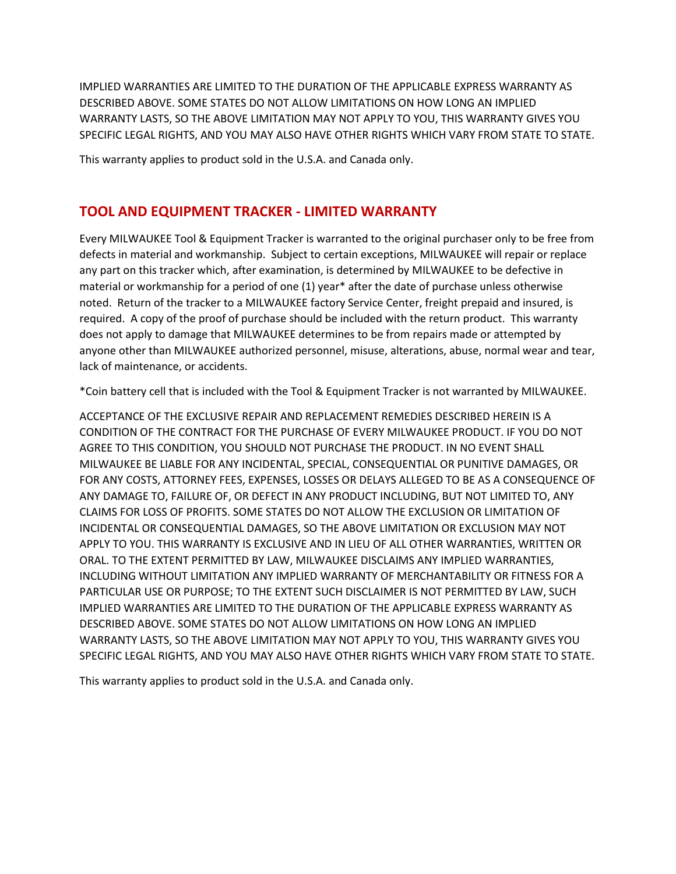IMPLIED WARRANTIES ARE LIMITED TO THE DURATION OF THE APPLICABLE EXPRESS WARRANTY AS DESCRIBED ABOVE. SOME STATES DO NOT ALLOW LIMITATIONS ON HOW LONG AN IMPLIED WARRANTY LASTS, SO THE ABOVE LIMITATION MAY NOT APPLY TO YOU, THIS WARRANTY GIVES YOU SPECIFIC LEGAL RIGHTS, AND YOU MAY ALSO HAVE OTHER RIGHTS WHICH VARY FROM STATE TO STATE.

This warranty applies to product sold in the U.S.A. and Canada only.

#### **TOOL AND EQUIPMENT TRACKER - LIMITED WARRANTY**

Every MILWAUKEE Tool & Equipment Tracker is warranted to the original purchaser only to be free from defects in material and workmanship. Subject to certain exceptions, MILWAUKEE will repair or replace any part on this tracker which, after examination, is determined by MILWAUKEE to be defective in material or workmanship for a period of one (1) year\* after the date of purchase unless otherwise noted. Return of the tracker to a MILWAUKEE factory Service Center, freight prepaid and insured, is required. A copy of the proof of purchase should be included with the return product. This warranty does not apply to damage that MILWAUKEE determines to be from repairs made or attempted by anyone other than MILWAUKEE authorized personnel, misuse, alterations, abuse, normal wear and tear, lack of maintenance, or accidents.

\*Coin battery cell that is included with the Tool & Equipment Tracker is not warranted by MILWAUKEE.

ACCEPTANCE OF THE EXCLUSIVE REPAIR AND REPLACEMENT REMEDIES DESCRIBED HEREIN IS A CONDITION OF THE CONTRACT FOR THE PURCHASE OF EVERY MILWAUKEE PRODUCT. IF YOU DO NOT AGREE TO THIS CONDITION, YOU SHOULD NOT PURCHASE THE PRODUCT. IN NO EVENT SHALL MILWAUKEE BE LIABLE FOR ANY INCIDENTAL, SPECIAL, CONSEQUENTIAL OR PUNITIVE DAMAGES, OR FOR ANY COSTS, ATTORNEY FEES, EXPENSES, LOSSES OR DELAYS ALLEGED TO BE AS A CONSEQUENCE OF ANY DAMAGE TO, FAILURE OF, OR DEFECT IN ANY PRODUCT INCLUDING, BUT NOT LIMITED TO, ANY CLAIMS FOR LOSS OF PROFITS. SOME STATES DO NOT ALLOW THE EXCLUSION OR LIMITATION OF INCIDENTAL OR CONSEQUENTIAL DAMAGES, SO THE ABOVE LIMITATION OR EXCLUSION MAY NOT APPLY TO YOU. THIS WARRANTY IS EXCLUSIVE AND IN LIEU OF ALL OTHER WARRANTIES, WRITTEN OR ORAL. TO THE EXTENT PERMITTED BY LAW, MILWAUKEE DISCLAIMS ANY IMPLIED WARRANTIES, INCLUDING WITHOUT LIMITATION ANY IMPLIED WARRANTY OF MERCHANTABILITY OR FITNESS FOR A PARTICULAR USE OR PURPOSE; TO THE EXTENT SUCH DISCLAIMER IS NOT PERMITTED BY LAW, SUCH IMPLIED WARRANTIES ARE LIMITED TO THE DURATION OF THE APPLICABLE EXPRESS WARRANTY AS DESCRIBED ABOVE. SOME STATES DO NOT ALLOW LIMITATIONS ON HOW LONG AN IMPLIED WARRANTY LASTS, SO THE ABOVE LIMITATION MAY NOT APPLY TO YOU, THIS WARRANTY GIVES YOU SPECIFIC LEGAL RIGHTS, AND YOU MAY ALSO HAVE OTHER RIGHTS WHICH VARY FROM STATE TO STATE.

This warranty applies to product sold in the U.S.A. and Canada only.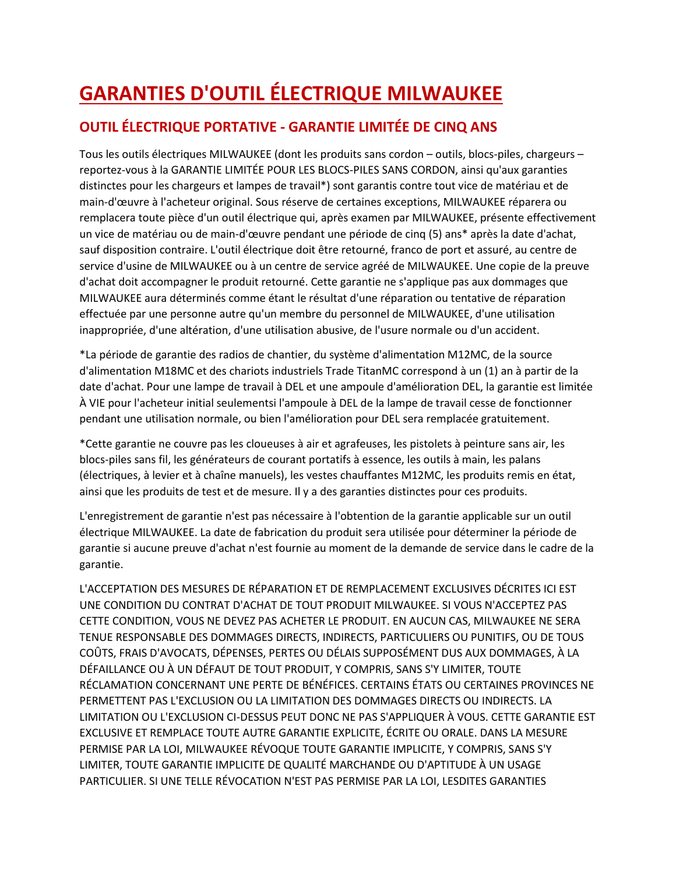# **GARANTIES D'OUTIL ÉLECTRIQUE MILWAUKEE**

### **OUTIL ÉLECTRIQUE PORTATIVE - GARANTIE LIMITÉE DE CINQ ANS**

Tous les outils électriques MILWAUKEE (dont les produits sans cordon – outils, blocs-piles, chargeurs – reportez-vous à la GARANTIE LIMITÉE POUR LES BLOCS-PILES SANS CORDON, ainsi qu'aux garanties distinctes pour les chargeurs et lampes de travail\*) sont garantis contre tout vice de matériau et de main-d'œuvre à l'acheteur original. Sous réserve de certaines exceptions, MILWAUKEE réparera ou remplacera toute pièce d'un outil électrique qui, après examen par MILWAUKEE, présente effectivement un vice de matériau ou de main-d'œuvre pendant une période de cinq (5) ans\* après la date d'achat, sauf disposition contraire. L'outil électrique doit être retourné, franco de port et assuré, au centre de service d'usine de MILWAUKEE ou à un centre de service agréé de MILWAUKEE. Une copie de la preuve d'achat doit accompagner le produit retourné. Cette garantie ne s'applique pas aux dommages que MILWAUKEE aura déterminés comme étant le résultat d'une réparation ou tentative de réparation effectuée par une personne autre qu'un membre du personnel de MILWAUKEE, d'une utilisation inappropriée, d'une altération, d'une utilisation abusive, de l'usure normale ou d'un accident.

\*La période de garantie des radios de chantier, du système d'alimentation M12MC, de la source d'alimentation M18MC et des chariots industriels Trade TitanMC correspond à un (1) an à partir de la date d'achat. Pour une lampe de travail à DEL et une ampoule d'amélioration DEL, la garantie est limitée À VIE pour l'acheteur initial seulementsi l'ampoule à DEL de la lampe de travail cesse de fonctionner pendant une utilisation normale, ou bien l'amélioration pour DEL sera remplacée gratuitement.

\*Cette garantie ne couvre pas les cloueuses à air et agrafeuses, les pistolets à peinture sans air, les blocs-piles sans fil, les générateurs de courant portatifs à essence, les outils à main, les palans (électriques, à levier et à chaîne manuels), les vestes chauffantes M12MC, les produits remis en état, ainsi que les produits de test et de mesure. Il y a des garanties distinctes pour ces produits.

L'enregistrement de garantie n'est pas nécessaire à l'obtention de la garantie applicable sur un outil électrique MILWAUKEE. La date de fabrication du produit sera utilisée pour déterminer la période de garantie si aucune preuve d'achat n'est fournie au moment de la demande de service dans le cadre de la garantie.

L'ACCEPTATION DES MESURES DE RÉPARATION ET DE REMPLACEMENT EXCLUSIVES DÉCRITES ICI EST UNE CONDITION DU CONTRAT D'ACHAT DE TOUT PRODUIT MILWAUKEE. SI VOUS N'ACCEPTEZ PAS CETTE CONDITION, VOUS NE DEVEZ PAS ACHETER LE PRODUIT. EN AUCUN CAS, MILWAUKEE NE SERA TENUE RESPONSABLE DES DOMMAGES DIRECTS, INDIRECTS, PARTICULIERS OU PUNITIFS, OU DE TOUS COÛTS, FRAIS D'AVOCATS, DÉPENSES, PERTES OU DÉLAIS SUPPOSÉMENT DUS AUX DOMMAGES, À LA DÉFAILLANCE OU À UN DÉFAUT DE TOUT PRODUIT, Y COMPRIS, SANS S'Y LIMITER, TOUTE RÉCLAMATION CONCERNANT UNE PERTE DE BÉNÉFICES. CERTAINS ÉTATS OU CERTAINES PROVINCES NE PERMETTENT PAS L'EXCLUSION OU LA LIMITATION DES DOMMAGES DIRECTS OU INDIRECTS. LA LIMITATION OU L'EXCLUSION CI-DESSUS PEUT DONC NE PAS S'APPLIQUER À VOUS. CETTE GARANTIE EST EXCLUSIVE ET REMPLACE TOUTE AUTRE GARANTIE EXPLICITE, ÉCRITE OU ORALE. DANS LA MESURE PERMISE PAR LA LOI, MILWAUKEE RÉVOQUE TOUTE GARANTIE IMPLICITE, Y COMPRIS, SANS S'Y LIMITER, TOUTE GARANTIE IMPLICITE DE QUALITÉ MARCHANDE OU D'APTITUDE À UN USAGE PARTICULIER. SI UNE TELLE RÉVOCATION N'EST PAS PERMISE PAR LA LOI, LESDITES GARANTIES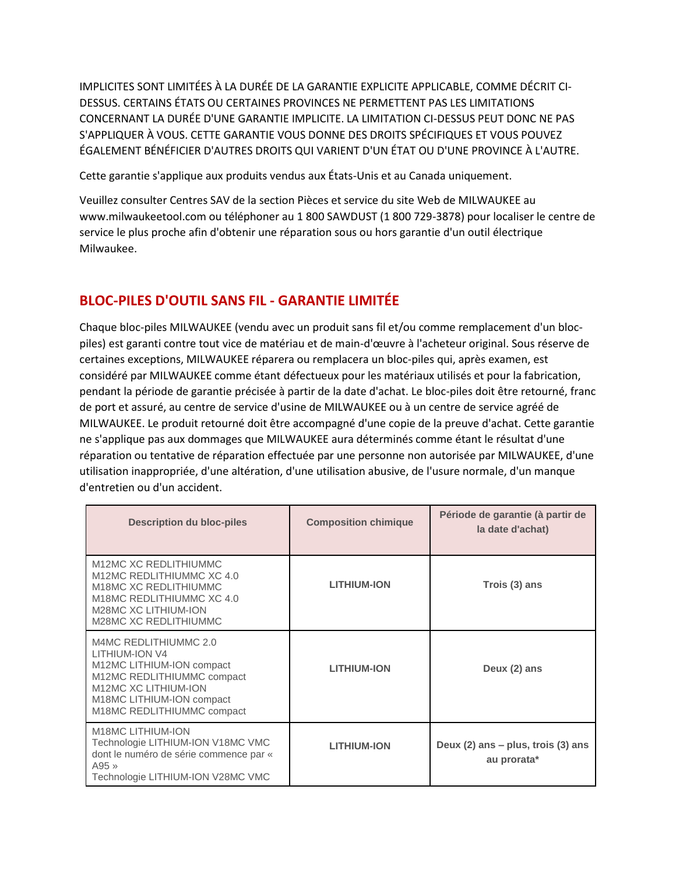IMPLICITES SONT LIMITÉES À LA DURÉE DE LA GARANTIE EXPLICITE APPLICABLE, COMME DÉCRIT CI-DESSUS. CERTAINS ÉTATS OU CERTAINES PROVINCES NE PERMETTENT PAS LES LIMITATIONS CONCERNANT LA DURÉE D'UNE GARANTIE IMPLICITE. LA LIMITATION CI-DESSUS PEUT DONC NE PAS S'APPLIQUER À VOUS. CETTE GARANTIE VOUS DONNE DES DROITS SPÉCIFIQUES ET VOUS POUVEZ ÉGALEMENT BÉNÉFICIER D'AUTRES DROITS QUI VARIENT D'UN ÉTAT OU D'UNE PROVINCE À L'AUTRE.

Cette garantie s'applique aux produits vendus aux États-Unis et au Canada uniquement.

Veuillez consulter Centres SAV de la section Pièces et service du site Web de MILWAUKEE au www.milwaukeetool.com ou téléphoner au 1 800 SAWDUST (1 800 729-3878) pour localiser le centre de service le plus proche afin d'obtenir une réparation sous ou hors garantie d'un outil électrique Milwaukee.

### **BLOC-PILES D'OUTIL SANS FIL - GARANTIE LIMITÉE**

Chaque bloc-piles MILWAUKEE (vendu avec un produit sans fil et/ou comme remplacement d'un blocpiles) est garanti contre tout vice de matériau et de main-d'œuvre à l'acheteur original. Sous réserve de certaines exceptions, MILWAUKEE réparera ou remplacera un bloc-piles qui, après examen, est considéré par MILWAUKEE comme étant défectueux pour les matériaux utilisés et pour la fabrication, pendant la période de garantie précisée à partir de la date d'achat. Le bloc-piles doit être retourné, franc de port et assuré, au centre de service d'usine de MILWAUKEE ou à un centre de service agréé de MILWAUKEE. Le produit retourné doit être accompagné d'une copie de la preuve d'achat. Cette garantie ne s'applique pas aux dommages que MILWAUKEE aura déterminés comme étant le résultat d'une réparation ou tentative de réparation effectuée par une personne non autorisée par MILWAUKEE, d'une utilisation inappropriée, d'une altération, d'une utilisation abusive, de l'usure normale, d'un manque d'entretien ou d'un accident.

| <b>Description du bloc-piles</b>                                                                                                                                                             | <b>Composition chimique</b> | Période de garantie (à partir de<br>la date d'achat) |
|----------------------------------------------------------------------------------------------------------------------------------------------------------------------------------------------|-----------------------------|------------------------------------------------------|
| M12MC XC REDLITHIUMMC<br>M12MC REDLITHIUMMC XC 4.0<br>M18MC XC REDLITHIUMMC<br>M18MC REDLITHIUMMC XC 4.0<br>M28MC XC LITHIUM-ION<br>M28MC XC REDLITHIUMMC                                    | <b>LITHIUM-ION</b>          | Trois (3) ans                                        |
| M4MC REDLITHIUMMC 2.0<br><b>LITHIUM-ION V4</b><br>M12MC LITHIUM-ION compact<br>M12MC REDLITHIUMMC compact<br>M12MC XC LITHIUM-ION<br>M18MC LITHIUM-ION compact<br>M18MC REDLITHIUMMC compact | <b>LITHIUM-ION</b>          | Deux (2) ans                                         |
| <b>M18MC LITHIUM-ION</b><br>Technologie LITHIUM-ION V18MC VMC<br>dont le numéro de série commence par «<br>$A95 \times$<br>Technologie LITHIUM-ION V28MC VMC                                 | <b>LITHIUM-ION</b>          | Deux (2) ans - plus, trois (3) ans<br>au prorata*    |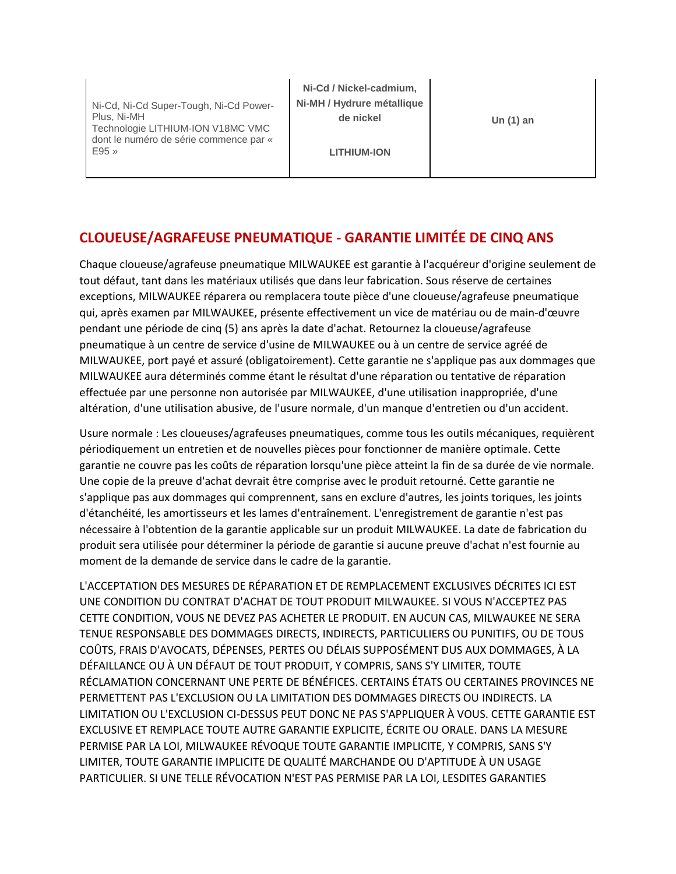Ni-Cd, Ni-Cd Super-Tough, Ni-Cd Power-Plus, Ni-MH Technologie LITHIUM-ION V18MC VMC dont le numéro de série commence par « E95 »

**Ni-Cd / Nickel-cadmium, Ni-MH / Hydrure métallique de nickel**

**Un (1) an**

**LITHIUM-ION**

### **CLOUEUSE/AGRAFEUSE PNEUMATIQUE - GARANTIE LIMITÉE DE CINQ ANS**

Chaque cloueuse/agrafeuse pneumatique MILWAUKEE est garantie à l'acquéreur d'origine seulement de tout défaut, tant dans les matériaux utilisés que dans leur fabrication. Sous réserve de certaines exceptions, MILWAUKEE réparera ou remplacera toute pièce d'une cloueuse/agrafeuse pneumatique qui, après examen par MILWAUKEE, présente effectivement un vice de matériau ou de main-d'œuvre pendant une période de cinq (5) ans après la date d'achat. Retournez la cloueuse/agrafeuse pneumatique à un centre de service d'usine de MILWAUKEE ou à un centre de service agréé de MILWAUKEE, port payé et assuré (obligatoirement). Cette garantie ne s'applique pas aux dommages que MILWAUKEE aura déterminés comme étant le résultat d'une réparation ou tentative de réparation effectuée par une personne non autorisée par MILWAUKEE, d'une utilisation inappropriée, d'une altération, d'une utilisation abusive, de l'usure normale, d'un manque d'entretien ou d'un accident.

Usure normale : Les cloueuses/agrafeuses pneumatiques, comme tous les outils mécaniques, requièrent périodiquement un entretien et de nouvelles pièces pour fonctionner de manière optimale. Cette garantie ne couvre pas les coûts de réparation lorsqu'une pièce atteint la fin de sa durée de vie normale. Une copie de la preuve d'achat devrait être comprise avec le produit retourné. Cette garantie ne s'applique pas aux dommages qui comprennent, sans en exclure d'autres, les joints toriques, les joints d'étanchéité, les amortisseurs et les lames d'entraînement. L'enregistrement de garantie n'est pas nécessaire à l'obtention de la garantie applicable sur un produit MILWAUKEE. La date de fabrication du produit sera utilisée pour déterminer la période de garantie si aucune preuve d'achat n'est fournie au moment de la demande de service dans le cadre de la garantie.

L'ACCEPTATION DES MESURES DE RÉPARATION ET DE REMPLACEMENT EXCLUSIVES DÉCRITES ICI EST UNE CONDITION DU CONTRAT D'ACHAT DE TOUT PRODUIT MILWAUKEE. SI VOUS N'ACCEPTEZ PAS CETTE CONDITION, VOUS NE DEVEZ PAS ACHETER LE PRODUIT. EN AUCUN CAS, MILWAUKEE NE SERA TENUE RESPONSABLE DES DOMMAGES DIRECTS, INDIRECTS, PARTICULIERS OU PUNITIFS, OU DE TOUS COÛTS, FRAIS D'AVOCATS, DÉPENSES, PERTES OU DÉLAIS SUPPOSÉMENT DUS AUX DOMMAGES, À LA DÉFAILLANCE OU À UN DÉFAUT DE TOUT PRODUIT, Y COMPRIS, SANS S'Y LIMITER, TOUTE RÉCLAMATION CONCERNANT UNE PERTE DE BÉNÉFICES. CERTAINS ÉTATS OU CERTAINES PROVINCES NE PERMETTENT PAS L'EXCLUSION OU LA LIMITATION DES DOMMAGES DIRECTS OU INDIRECTS. LA LIMITATION OU L'EXCLUSION CI-DESSUS PEUT DONC NE PAS S'APPLIQUER À VOUS. CETTE GARANTIE EST EXCLUSIVE ET REMPLACE TOUTE AUTRE GARANTIE EXPLICITE, ÉCRITE OU ORALE. DANS LA MESURE PERMISE PAR LA LOI, MILWAUKEE RÉVOQUE TOUTE GARANTIE IMPLICITE, Y COMPRIS, SANS S'Y LIMITER, TOUTE GARANTIE IMPLICITE DE QUALITÉ MARCHANDE OU D'APTITUDE À UN USAGE PARTICULIER. SI UNE TELLE RÉVOCATION N'EST PAS PERMISE PAR LA LOI, LESDITES GARANTIES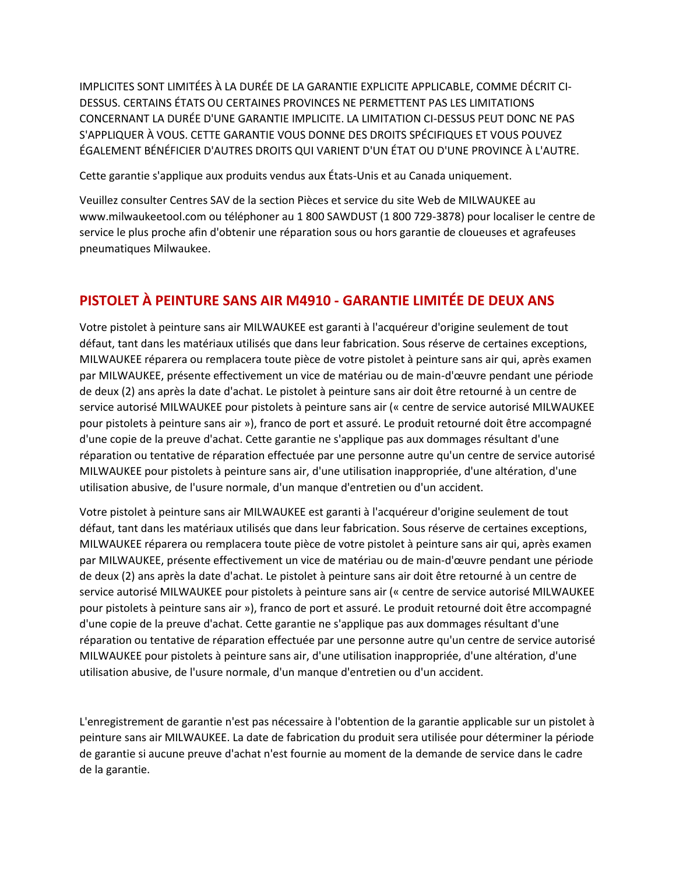IMPLICITES SONT LIMITÉES À LA DURÉE DE LA GARANTIE EXPLICITE APPLICABLE, COMME DÉCRIT CI-DESSUS. CERTAINS ÉTATS OU CERTAINES PROVINCES NE PERMETTENT PAS LES LIMITATIONS CONCERNANT LA DURÉE D'UNE GARANTIE IMPLICITE. LA LIMITATION CI-DESSUS PEUT DONC NE PAS S'APPLIQUER À VOUS. CETTE GARANTIE VOUS DONNE DES DROITS SPÉCIFIQUES ET VOUS POUVEZ ÉGALEMENT BÉNÉFICIER D'AUTRES DROITS QUI VARIENT D'UN ÉTAT OU D'UNE PROVINCE À L'AUTRE.

Cette garantie s'applique aux produits vendus aux États-Unis et au Canada uniquement.

Veuillez consulter Centres SAV de la section Pièces et service du site Web de MILWAUKEE au www.milwaukeetool.com ou téléphoner au 1 800 SAWDUST (1 800 729-3878) pour localiser le centre de service le plus proche afin d'obtenir une réparation sous ou hors garantie de cloueuses et agrafeuses pneumatiques Milwaukee.

#### **PISTOLET À PEINTURE SANS AIR M4910 - GARANTIE LIMITÉE DE DEUX ANS**

Votre pistolet à peinture sans air MILWAUKEE est garanti à l'acquéreur d'origine seulement de tout défaut, tant dans les matériaux utilisés que dans leur fabrication. Sous réserve de certaines exceptions, MILWAUKEE réparera ou remplacera toute pièce de votre pistolet à peinture sans air qui, après examen par MILWAUKEE, présente effectivement un vice de matériau ou de main-d'œuvre pendant une période de deux (2) ans après la date d'achat. Le pistolet à peinture sans air doit être retourné à un centre de service autorisé MILWAUKEE pour pistolets à peinture sans air (« centre de service autorisé MILWAUKEE pour pistolets à peinture sans air »), franco de port et assuré. Le produit retourné doit être accompagné d'une copie de la preuve d'achat. Cette garantie ne s'applique pas aux dommages résultant d'une réparation ou tentative de réparation effectuée par une personne autre qu'un centre de service autorisé MILWAUKEE pour pistolets à peinture sans air, d'une utilisation inappropriée, d'une altération, d'une utilisation abusive, de l'usure normale, d'un manque d'entretien ou d'un accident.

Votre pistolet à peinture sans air MILWAUKEE est garanti à l'acquéreur d'origine seulement de tout défaut, tant dans les matériaux utilisés que dans leur fabrication. Sous réserve de certaines exceptions, MILWAUKEE réparera ou remplacera toute pièce de votre pistolet à peinture sans air qui, après examen par MILWAUKEE, présente effectivement un vice de matériau ou de main-d'œuvre pendant une période de deux (2) ans après la date d'achat. Le pistolet à peinture sans air doit être retourné à un centre de service autorisé MILWAUKEE pour pistolets à peinture sans air (« centre de service autorisé MILWAUKEE pour pistolets à peinture sans air »), franco de port et assuré. Le produit retourné doit être accompagné d'une copie de la preuve d'achat. Cette garantie ne s'applique pas aux dommages résultant d'une réparation ou tentative de réparation effectuée par une personne autre qu'un centre de service autorisé MILWAUKEE pour pistolets à peinture sans air, d'une utilisation inappropriée, d'une altération, d'une utilisation abusive, de l'usure normale, d'un manque d'entretien ou d'un accident.

L'enregistrement de garantie n'est pas nécessaire à l'obtention de la garantie applicable sur un pistolet à peinture sans air MILWAUKEE. La date de fabrication du produit sera utilisée pour déterminer la période de garantie si aucune preuve d'achat n'est fournie au moment de la demande de service dans le cadre de la garantie.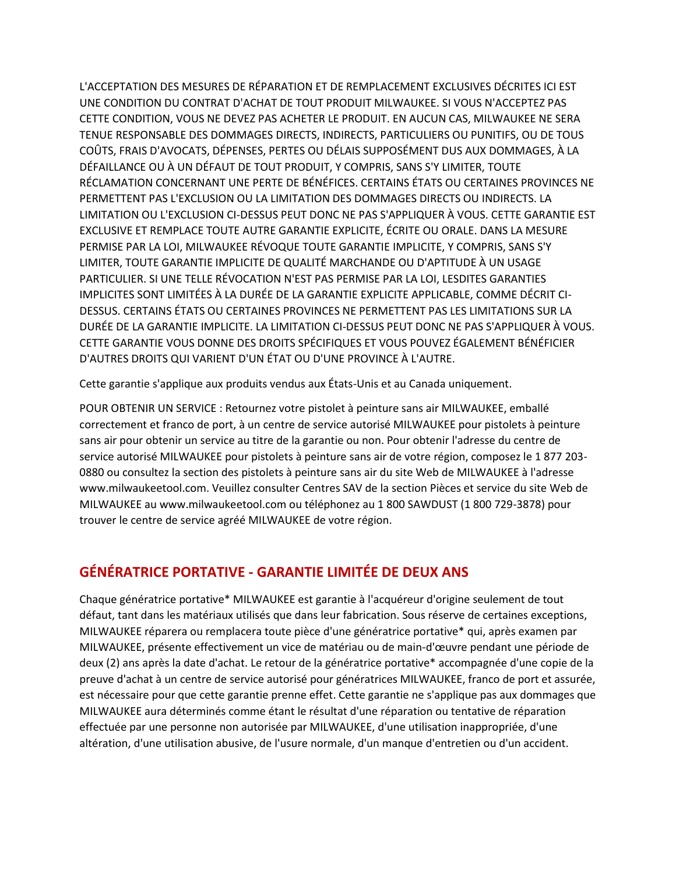L'ACCEPTATION DES MESURES DE RÉPARATION ET DE REMPLACEMENT EXCLUSIVES DÉCRITES ICI EST UNE CONDITION DU CONTRAT D'ACHAT DE TOUT PRODUIT MILWAUKEE. SI VOUS N'ACCEPTEZ PAS CETTE CONDITION, VOUS NE DEVEZ PAS ACHETER LE PRODUIT. EN AUCUN CAS, MILWAUKEE NE SERA TENUE RESPONSABLE DES DOMMAGES DIRECTS, INDIRECTS, PARTICULIERS OU PUNITIFS, OU DE TOUS COÛTS, FRAIS D'AVOCATS, DÉPENSES, PERTES OU DÉLAIS SUPPOSÉMENT DUS AUX DOMMAGES, À LA DÉFAILLANCE OU À UN DÉFAUT DE TOUT PRODUIT, Y COMPRIS, SANS S'Y LIMITER, TOUTE RÉCLAMATION CONCERNANT UNE PERTE DE BÉNÉFICES. CERTAINS ÉTATS OU CERTAINES PROVINCES NE PERMETTENT PAS L'EXCLUSION OU LA LIMITATION DES DOMMAGES DIRECTS OU INDIRECTS. LA LIMITATION OU L'EXCLUSION CI-DESSUS PEUT DONC NE PAS S'APPLIQUER À VOUS. CETTE GARANTIE EST EXCLUSIVE ET REMPLACE TOUTE AUTRE GARANTIE EXPLICITE, ÉCRITE OU ORALE. DANS LA MESURE PERMISE PAR LA LOI, MILWAUKEE RÉVOQUE TOUTE GARANTIE IMPLICITE, Y COMPRIS, SANS S'Y LIMITER, TOUTE GARANTIE IMPLICITE DE QUALITÉ MARCHANDE OU D'APTITUDE À UN USAGE PARTICULIER. SI UNE TELLE RÉVOCATION N'EST PAS PERMISE PAR LA LOI, LESDITES GARANTIES IMPLICITES SONT LIMITÉES À LA DURÉE DE LA GARANTIE EXPLICITE APPLICABLE, COMME DÉCRIT CI-DESSUS. CERTAINS ÉTATS OU CERTAINES PROVINCES NE PERMETTENT PAS LES LIMITATIONS SUR LA DURÉE DE LA GARANTIE IMPLICITE. LA LIMITATION CI-DESSUS PEUT DONC NE PAS S'APPLIQUER À VOUS. CETTE GARANTIE VOUS DONNE DES DROITS SPÉCIFIQUES ET VOUS POUVEZ ÉGALEMENT BÉNÉFICIER D'AUTRES DROITS QUI VARIENT D'UN ÉTAT OU D'UNE PROVINCE À L'AUTRE.

Cette garantie s'applique aux produits vendus aux États-Unis et au Canada uniquement.

POUR OBTENIR UN SERVICE : Retournez votre pistolet à peinture sans air MILWAUKEE, emballé correctement et franco de port, à un centre de service autorisé MILWAUKEE pour pistolets à peinture sans air pour obtenir un service au titre de la garantie ou non. Pour obtenir l'adresse du centre de service autorisé MILWAUKEE pour pistolets à peinture sans air de votre région, composez le 1 877 203- 0880 ou consultez la section des pistolets à peinture sans air du site Web de MILWAUKEE à l'adresse www.milwaukeetool.com. Veuillez consulter Centres SAV de la section Pièces et service du site Web de MILWAUKEE au www.milwaukeetool.com ou téléphonez au 1 800 SAWDUST (1 800 729-3878) pour trouver le centre de service agréé MILWAUKEE de votre région.

#### **GÉNÉRATRICE PORTATIVE - GARANTIE LIMITÉE DE DEUX ANS**

Chaque génératrice portative\* MILWAUKEE est garantie à l'acquéreur d'origine seulement de tout défaut, tant dans les matériaux utilisés que dans leur fabrication. Sous réserve de certaines exceptions, MILWAUKEE réparera ou remplacera toute pièce d'une génératrice portative\* qui, après examen par MILWAUKEE, présente effectivement un vice de matériau ou de main-d'œuvre pendant une période de deux (2) ans après la date d'achat. Le retour de la génératrice portative\* accompagnée d'une copie de la preuve d'achat à un centre de service autorisé pour génératrices MILWAUKEE, franco de port et assurée, est nécessaire pour que cette garantie prenne effet. Cette garantie ne s'applique pas aux dommages que MILWAUKEE aura déterminés comme étant le résultat d'une réparation ou tentative de réparation effectuée par une personne non autorisée par MILWAUKEE, d'une utilisation inappropriée, d'une altération, d'une utilisation abusive, de l'usure normale, d'un manque d'entretien ou d'un accident.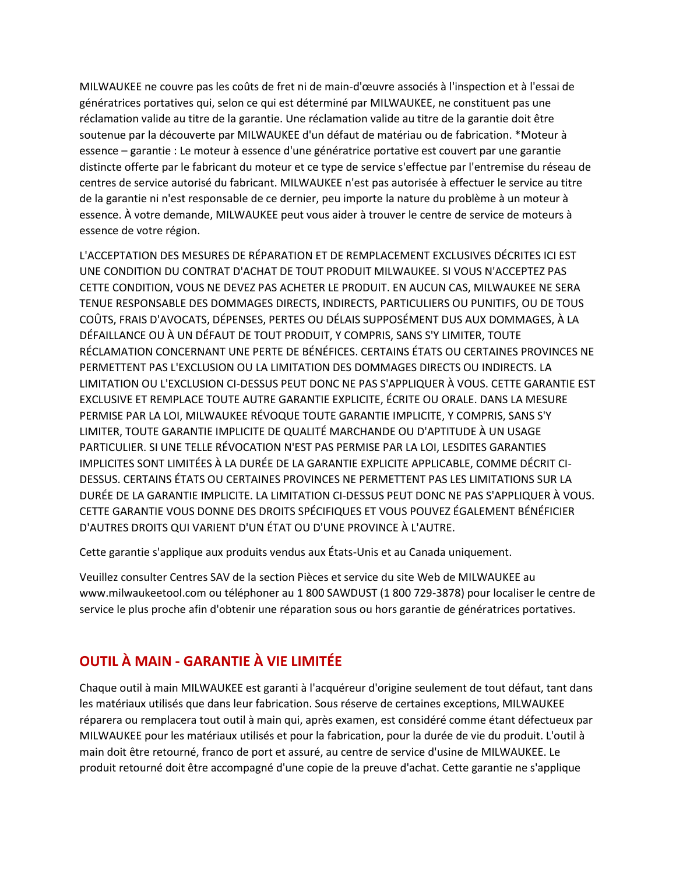MILWAUKEE ne couvre pas les coûts de fret ni de main-d'œuvre associés à l'inspection et à l'essai de génératrices portatives qui, selon ce qui est déterminé par MILWAUKEE, ne constituent pas une réclamation valide au titre de la garantie. Une réclamation valide au titre de la garantie doit être soutenue par la découverte par MILWAUKEE d'un défaut de matériau ou de fabrication. \*Moteur à essence – garantie : Le moteur à essence d'une génératrice portative est couvert par une garantie distincte offerte par le fabricant du moteur et ce type de service s'effectue par l'entremise du réseau de centres de service autorisé du fabricant. MILWAUKEE n'est pas autorisée à effectuer le service au titre de la garantie ni n'est responsable de ce dernier, peu importe la nature du problème à un moteur à essence. À votre demande, MILWAUKEE peut vous aider à trouver le centre de service de moteurs à essence de votre région.

L'ACCEPTATION DES MESURES DE RÉPARATION ET DE REMPLACEMENT EXCLUSIVES DÉCRITES ICI EST UNE CONDITION DU CONTRAT D'ACHAT DE TOUT PRODUIT MILWAUKEE. SI VOUS N'ACCEPTEZ PAS CETTE CONDITION, VOUS NE DEVEZ PAS ACHETER LE PRODUIT. EN AUCUN CAS, MILWAUKEE NE SERA TENUE RESPONSABLE DES DOMMAGES DIRECTS, INDIRECTS, PARTICULIERS OU PUNITIFS, OU DE TOUS COÛTS, FRAIS D'AVOCATS, DÉPENSES, PERTES OU DÉLAIS SUPPOSÉMENT DUS AUX DOMMAGES, À LA DÉFAILLANCE OU À UN DÉFAUT DE TOUT PRODUIT, Y COMPRIS, SANS S'Y LIMITER, TOUTE RÉCLAMATION CONCERNANT UNE PERTE DE BÉNÉFICES. CERTAINS ÉTATS OU CERTAINES PROVINCES NE PERMETTENT PAS L'EXCLUSION OU LA LIMITATION DES DOMMAGES DIRECTS OU INDIRECTS. LA LIMITATION OU L'EXCLUSION CI-DESSUS PEUT DONC NE PAS S'APPLIQUER À VOUS. CETTE GARANTIE EST EXCLUSIVE ET REMPLACE TOUTE AUTRE GARANTIE EXPLICITE, ÉCRITE OU ORALE. DANS LA MESURE PERMISE PAR LA LOI, MILWAUKEE RÉVOQUE TOUTE GARANTIE IMPLICITE, Y COMPRIS, SANS S'Y LIMITER, TOUTE GARANTIE IMPLICITE DE QUALITÉ MARCHANDE OU D'APTITUDE À UN USAGE PARTICULIER. SI UNE TELLE RÉVOCATION N'EST PAS PERMISE PAR LA LOI, LESDITES GARANTIES IMPLICITES SONT LIMITÉES À LA DURÉE DE LA GARANTIE EXPLICITE APPLICABLE, COMME DÉCRIT CI-DESSUS. CERTAINS ÉTATS OU CERTAINES PROVINCES NE PERMETTENT PAS LES LIMITATIONS SUR LA DURÉE DE LA GARANTIE IMPLICITE. LA LIMITATION CI-DESSUS PEUT DONC NE PAS S'APPLIQUER À VOUS. CETTE GARANTIE VOUS DONNE DES DROITS SPÉCIFIQUES ET VOUS POUVEZ ÉGALEMENT BÉNÉFICIER D'AUTRES DROITS QUI VARIENT D'UN ÉTAT OU D'UNE PROVINCE À L'AUTRE.

Cette garantie s'applique aux produits vendus aux États-Unis et au Canada uniquement.

Veuillez consulter Centres SAV de la section Pièces et service du site Web de MILWAUKEE au www.milwaukeetool.com ou téléphoner au 1 800 SAWDUST (1 800 729-3878) pour localiser le centre de service le plus proche afin d'obtenir une réparation sous ou hors garantie de génératrices portatives.

### **OUTIL À MAIN - GARANTIE À VIE LIMITÉE**

Chaque outil à main MILWAUKEE est garanti à l'acquéreur d'origine seulement de tout défaut, tant dans les matériaux utilisés que dans leur fabrication. Sous réserve de certaines exceptions, MILWAUKEE réparera ou remplacera tout outil à main qui, après examen, est considéré comme étant défectueux par MILWAUKEE pour les matériaux utilisés et pour la fabrication, pour la durée de vie du produit. L'outil à main doit être retourné, franco de port et assuré, au centre de service d'usine de MILWAUKEE. Le produit retourné doit être accompagné d'une copie de la preuve d'achat. Cette garantie ne s'applique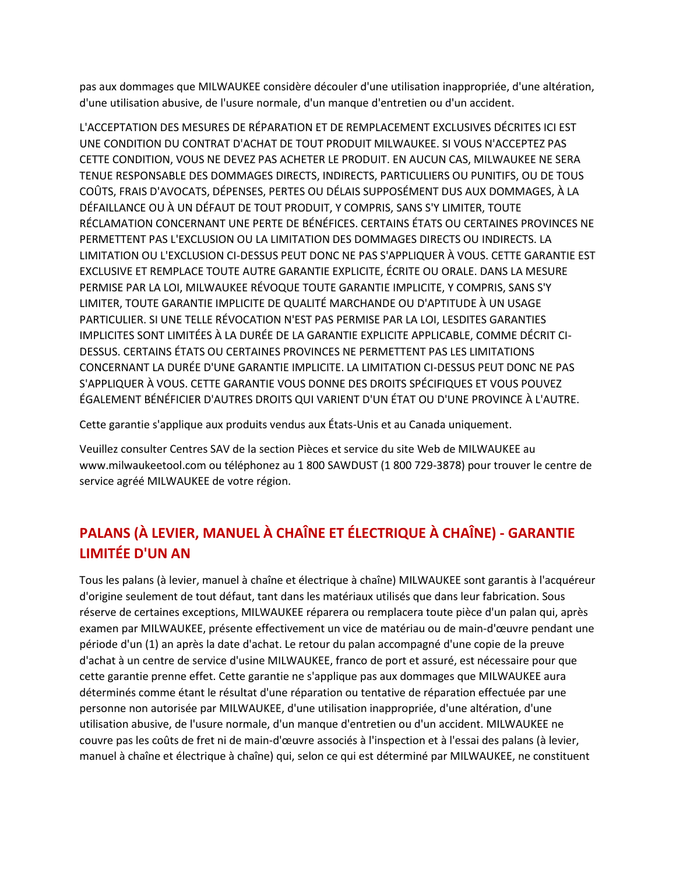pas aux dommages que MILWAUKEE considère découler d'une utilisation inappropriée, d'une altération, d'une utilisation abusive, de l'usure normale, d'un manque d'entretien ou d'un accident.

L'ACCEPTATION DES MESURES DE RÉPARATION ET DE REMPLACEMENT EXCLUSIVES DÉCRITES ICI EST UNE CONDITION DU CONTRAT D'ACHAT DE TOUT PRODUIT MILWAUKEE. SI VOUS N'ACCEPTEZ PAS CETTE CONDITION, VOUS NE DEVEZ PAS ACHETER LE PRODUIT. EN AUCUN CAS, MILWAUKEE NE SERA TENUE RESPONSABLE DES DOMMAGES DIRECTS, INDIRECTS, PARTICULIERS OU PUNITIFS, OU DE TOUS COÛTS, FRAIS D'AVOCATS, DÉPENSES, PERTES OU DÉLAIS SUPPOSÉMENT DUS AUX DOMMAGES, À LA DÉFAILLANCE OU À UN DÉFAUT DE TOUT PRODUIT, Y COMPRIS, SANS S'Y LIMITER, TOUTE RÉCLAMATION CONCERNANT UNE PERTE DE BÉNÉFICES. CERTAINS ÉTATS OU CERTAINES PROVINCES NE PERMETTENT PAS L'EXCLUSION OU LA LIMITATION DES DOMMAGES DIRECTS OU INDIRECTS. LA LIMITATION OU L'EXCLUSION CI-DESSUS PEUT DONC NE PAS S'APPLIQUER À VOUS. CETTE GARANTIE EST EXCLUSIVE ET REMPLACE TOUTE AUTRE GARANTIE EXPLICITE, ÉCRITE OU ORALE. DANS LA MESURE PERMISE PAR LA LOI, MILWAUKEE RÉVOQUE TOUTE GARANTIE IMPLICITE, Y COMPRIS, SANS S'Y LIMITER, TOUTE GARANTIE IMPLICITE DE QUALITÉ MARCHANDE OU D'APTITUDE À UN USAGE PARTICULIER. SI UNE TELLE RÉVOCATION N'EST PAS PERMISE PAR LA LOI, LESDITES GARANTIES IMPLICITES SONT LIMITÉES À LA DURÉE DE LA GARANTIE EXPLICITE APPLICABLE, COMME DÉCRIT CI-DESSUS. CERTAINS ÉTATS OU CERTAINES PROVINCES NE PERMETTENT PAS LES LIMITATIONS CONCERNANT LA DURÉE D'UNE GARANTIE IMPLICITE. LA LIMITATION CI-DESSUS PEUT DONC NE PAS S'APPLIQUER À VOUS. CETTE GARANTIE VOUS DONNE DES DROITS SPÉCIFIQUES ET VOUS POUVEZ ÉGALEMENT BÉNÉFICIER D'AUTRES DROITS QUI VARIENT D'UN ÉTAT OU D'UNE PROVINCE À L'AUTRE.

Cette garantie s'applique aux produits vendus aux États-Unis et au Canada uniquement.

Veuillez consulter Centres SAV de la section Pièces et service du site Web de MILWAUKEE au www.milwaukeetool.com ou téléphonez au 1 800 SAWDUST (1 800 729-3878) pour trouver le centre de service agréé MILWAUKEE de votre région.

# **PALANS (À LEVIER, MANUEL À CHAÎNE ET ÉLECTRIQUE À CHAÎNE) - GARANTIE LIMITÉE D'UN AN**

Tous les palans (à levier, manuel à chaîne et électrique à chaîne) MILWAUKEE sont garantis à l'acquéreur d'origine seulement de tout défaut, tant dans les matériaux utilisés que dans leur fabrication. Sous réserve de certaines exceptions, MILWAUKEE réparera ou remplacera toute pièce d'un palan qui, après examen par MILWAUKEE, présente effectivement un vice de matériau ou de main-d'œuvre pendant une période d'un (1) an après la date d'achat. Le retour du palan accompagné d'une copie de la preuve d'achat à un centre de service d'usine MILWAUKEE, franco de port et assuré, est nécessaire pour que cette garantie prenne effet. Cette garantie ne s'applique pas aux dommages que MILWAUKEE aura déterminés comme étant le résultat d'une réparation ou tentative de réparation effectuée par une personne non autorisée par MILWAUKEE, d'une utilisation inappropriée, d'une altération, d'une utilisation abusive, de l'usure normale, d'un manque d'entretien ou d'un accident. MILWAUKEE ne couvre pas les coûts de fret ni de main-d'œuvre associés à l'inspection et à l'essai des palans (à levier, manuel à chaîne et électrique à chaîne) qui, selon ce qui est déterminé par MILWAUKEE, ne constituent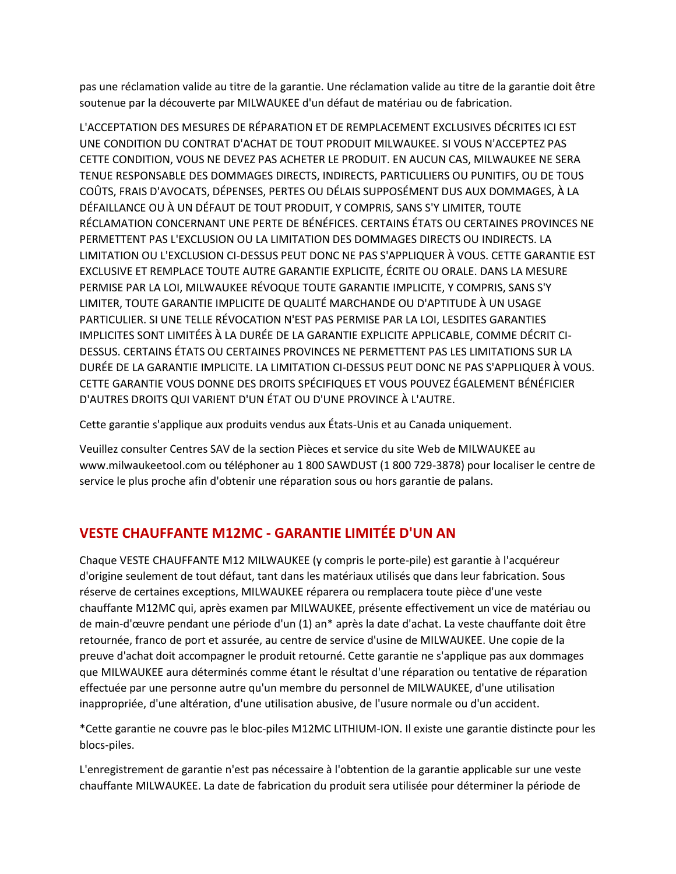pas une réclamation valide au titre de la garantie. Une réclamation valide au titre de la garantie doit être soutenue par la découverte par MILWAUKEE d'un défaut de matériau ou de fabrication.

L'ACCEPTATION DES MESURES DE RÉPARATION ET DE REMPLACEMENT EXCLUSIVES DÉCRITES ICI EST UNE CONDITION DU CONTRAT D'ACHAT DE TOUT PRODUIT MILWAUKEE. SI VOUS N'ACCEPTEZ PAS CETTE CONDITION, VOUS NE DEVEZ PAS ACHETER LE PRODUIT. EN AUCUN CAS, MILWAUKEE NE SERA TENUE RESPONSABLE DES DOMMAGES DIRECTS, INDIRECTS, PARTICULIERS OU PUNITIFS, OU DE TOUS COÛTS, FRAIS D'AVOCATS, DÉPENSES, PERTES OU DÉLAIS SUPPOSÉMENT DUS AUX DOMMAGES, À LA DÉFAILLANCE OU À UN DÉFAUT DE TOUT PRODUIT, Y COMPRIS, SANS S'Y LIMITER, TOUTE RÉCLAMATION CONCERNANT UNE PERTE DE BÉNÉFICES. CERTAINS ÉTATS OU CERTAINES PROVINCES NE PERMETTENT PAS L'EXCLUSION OU LA LIMITATION DES DOMMAGES DIRECTS OU INDIRECTS. LA LIMITATION OU L'EXCLUSION CI-DESSUS PEUT DONC NE PAS S'APPLIQUER À VOUS. CETTE GARANTIE EST EXCLUSIVE ET REMPLACE TOUTE AUTRE GARANTIE EXPLICITE, ÉCRITE OU ORALE. DANS LA MESURE PERMISE PAR LA LOI, MILWAUKEE RÉVOQUE TOUTE GARANTIE IMPLICITE, Y COMPRIS, SANS S'Y LIMITER, TOUTE GARANTIE IMPLICITE DE QUALITÉ MARCHANDE OU D'APTITUDE À UN USAGE PARTICULIER. SI UNE TELLE RÉVOCATION N'EST PAS PERMISE PAR LA LOI, LESDITES GARANTIES IMPLICITES SONT LIMITÉES À LA DURÉE DE LA GARANTIE EXPLICITE APPLICABLE, COMME DÉCRIT CI-DESSUS. CERTAINS ÉTATS OU CERTAINES PROVINCES NE PERMETTENT PAS LES LIMITATIONS SUR LA DURÉE DE LA GARANTIE IMPLICITE. LA LIMITATION CI-DESSUS PEUT DONC NE PAS S'APPLIQUER À VOUS. CETTE GARANTIE VOUS DONNE DES DROITS SPÉCIFIQUES ET VOUS POUVEZ ÉGALEMENT BÉNÉFICIER D'AUTRES DROITS QUI VARIENT D'UN ÉTAT OU D'UNE PROVINCE À L'AUTRE.

Cette garantie s'applique aux produits vendus aux États-Unis et au Canada uniquement.

Veuillez consulter Centres SAV de la section Pièces et service du site Web de MILWAUKEE au www.milwaukeetool.com ou téléphoner au 1 800 SAWDUST (1 800 729-3878) pour localiser le centre de service le plus proche afin d'obtenir une réparation sous ou hors garantie de palans.

### **VESTE CHAUFFANTE M12MC - GARANTIE LIMITÉE D'UN AN**

Chaque VESTE CHAUFFANTE M12 MILWAUKEE (y compris le porte-pile) est garantie à l'acquéreur d'origine seulement de tout défaut, tant dans les matériaux utilisés que dans leur fabrication. Sous réserve de certaines exceptions, MILWAUKEE réparera ou remplacera toute pièce d'une veste chauffante M12MC qui, après examen par MILWAUKEE, présente effectivement un vice de matériau ou de main-d'œuvre pendant une période d'un (1) an\* après la date d'achat. La veste chauffante doit être retournée, franco de port et assurée, au centre de service d'usine de MILWAUKEE. Une copie de la preuve d'achat doit accompagner le produit retourné. Cette garantie ne s'applique pas aux dommages que MILWAUKEE aura déterminés comme étant le résultat d'une réparation ou tentative de réparation effectuée par une personne autre qu'un membre du personnel de MILWAUKEE, d'une utilisation inappropriée, d'une altération, d'une utilisation abusive, de l'usure normale ou d'un accident.

\*Cette garantie ne couvre pas le bloc-piles M12MC LITHIUM-ION. Il existe une garantie distincte pour les blocs-piles.

L'enregistrement de garantie n'est pas nécessaire à l'obtention de la garantie applicable sur une veste chauffante MILWAUKEE. La date de fabrication du produit sera utilisée pour déterminer la période de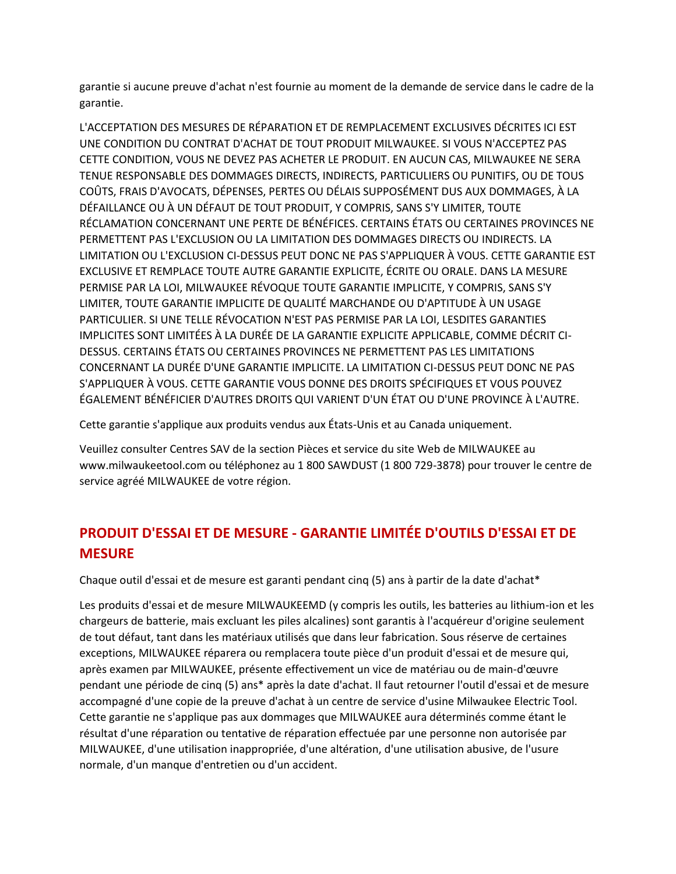garantie si aucune preuve d'achat n'est fournie au moment de la demande de service dans le cadre de la garantie.

L'ACCEPTATION DES MESURES DE RÉPARATION ET DE REMPLACEMENT EXCLUSIVES DÉCRITES ICI EST UNE CONDITION DU CONTRAT D'ACHAT DE TOUT PRODUIT MILWAUKEE. SI VOUS N'ACCEPTEZ PAS CETTE CONDITION, VOUS NE DEVEZ PAS ACHETER LE PRODUIT. EN AUCUN CAS, MILWAUKEE NE SERA TENUE RESPONSABLE DES DOMMAGES DIRECTS, INDIRECTS, PARTICULIERS OU PUNITIFS, OU DE TOUS COÛTS, FRAIS D'AVOCATS, DÉPENSES, PERTES OU DÉLAIS SUPPOSÉMENT DUS AUX DOMMAGES, À LA DÉFAILLANCE OU À UN DÉFAUT DE TOUT PRODUIT, Y COMPRIS, SANS S'Y LIMITER, TOUTE RÉCLAMATION CONCERNANT UNE PERTE DE BÉNÉFICES. CERTAINS ÉTATS OU CERTAINES PROVINCES NE PERMETTENT PAS L'EXCLUSION OU LA LIMITATION DES DOMMAGES DIRECTS OU INDIRECTS. LA LIMITATION OU L'EXCLUSION CI-DESSUS PEUT DONC NE PAS S'APPLIQUER À VOUS. CETTE GARANTIE EST EXCLUSIVE ET REMPLACE TOUTE AUTRE GARANTIE EXPLICITE, ÉCRITE OU ORALE. DANS LA MESURE PERMISE PAR LA LOI, MILWAUKEE RÉVOQUE TOUTE GARANTIE IMPLICITE, Y COMPRIS, SANS S'Y LIMITER, TOUTE GARANTIE IMPLICITE DE QUALITÉ MARCHANDE OU D'APTITUDE À UN USAGE PARTICULIER. SI UNE TELLE RÉVOCATION N'EST PAS PERMISE PAR LA LOI, LESDITES GARANTIES IMPLICITES SONT LIMITÉES À LA DURÉE DE LA GARANTIE EXPLICITE APPLICABLE, COMME DÉCRIT CI-DESSUS. CERTAINS ÉTATS OU CERTAINES PROVINCES NE PERMETTENT PAS LES LIMITATIONS CONCERNANT LA DURÉE D'UNE GARANTIE IMPLICITE. LA LIMITATION CI-DESSUS PEUT DONC NE PAS S'APPLIQUER À VOUS. CETTE GARANTIE VOUS DONNE DES DROITS SPÉCIFIQUES ET VOUS POUVEZ ÉGALEMENT BÉNÉFICIER D'AUTRES DROITS QUI VARIENT D'UN ÉTAT OU D'UNE PROVINCE À L'AUTRE.

Cette garantie s'applique aux produits vendus aux États-Unis et au Canada uniquement.

Veuillez consulter Centres SAV de la section Pièces et service du site Web de MILWAUKEE au www.milwaukeetool.com ou téléphonez au 1 800 SAWDUST (1 800 729-3878) pour trouver le centre de service agréé MILWAUKEE de votre région.

## **PRODUIT D'ESSAI ET DE MESURE - GARANTIE LIMITÉE D'OUTILS D'ESSAI ET DE MESURE**

Chaque outil d'essai et de mesure est garanti pendant cinq (5) ans à partir de la date d'achat\*

Les produits d'essai et de mesure MILWAUKEEMD (y compris les outils, les batteries au lithium-ion et les chargeurs de batterie, mais excluant les piles alcalines) sont garantis à l'acquéreur d'origine seulement de tout défaut, tant dans les matériaux utilisés que dans leur fabrication. Sous réserve de certaines exceptions, MILWAUKEE réparera ou remplacera toute pièce d'un produit d'essai et de mesure qui, après examen par MILWAUKEE, présente effectivement un vice de matériau ou de main-d'œuvre pendant une période de cinq (5) ans\* après la date d'achat. Il faut retourner l'outil d'essai et de mesure accompagné d'une copie de la preuve d'achat à un centre de service d'usine Milwaukee Electric Tool. Cette garantie ne s'applique pas aux dommages que MILWAUKEE aura déterminés comme étant le résultat d'une réparation ou tentative de réparation effectuée par une personne non autorisée par MILWAUKEE, d'une utilisation inappropriée, d'une altération, d'une utilisation abusive, de l'usure normale, d'un manque d'entretien ou d'un accident.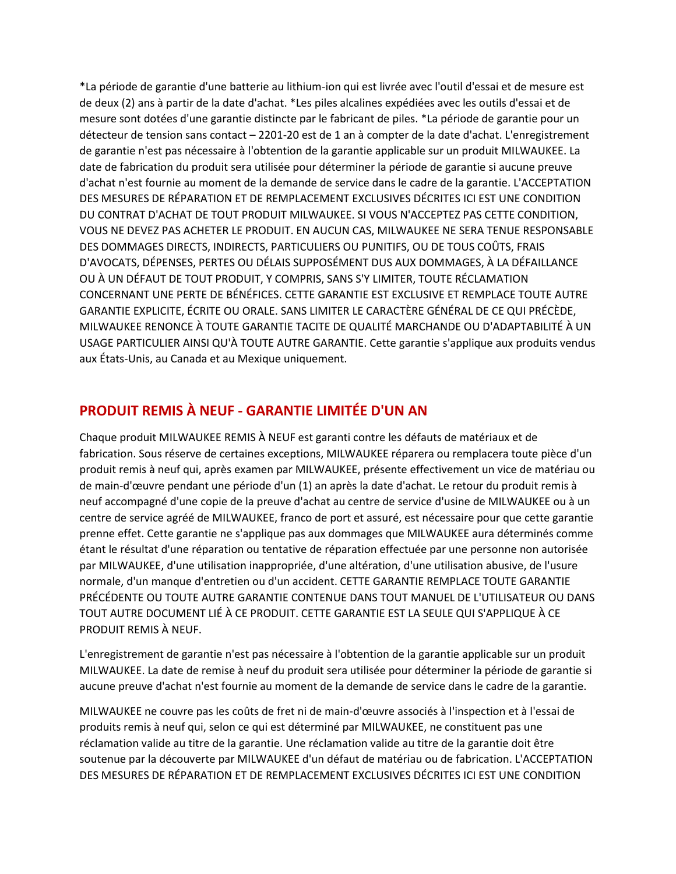\*La période de garantie d'une batterie au lithium-ion qui est livrée avec l'outil d'essai et de mesure est de deux (2) ans à partir de la date d'achat. \*Les piles alcalines expédiées avec les outils d'essai et de mesure sont dotées d'une garantie distincte par le fabricant de piles. \*La période de garantie pour un détecteur de tension sans contact – 2201-20 est de 1 an à compter de la date d'achat. L'enregistrement de garantie n'est pas nécessaire à l'obtention de la garantie applicable sur un produit MILWAUKEE. La date de fabrication du produit sera utilisée pour déterminer la période de garantie si aucune preuve d'achat n'est fournie au moment de la demande de service dans le cadre de la garantie. L'ACCEPTATION DES MESURES DE RÉPARATION ET DE REMPLACEMENT EXCLUSIVES DÉCRITES ICI EST UNE CONDITION DU CONTRAT D'ACHAT DE TOUT PRODUIT MILWAUKEE. SI VOUS N'ACCEPTEZ PAS CETTE CONDITION, VOUS NE DEVEZ PAS ACHETER LE PRODUIT. EN AUCUN CAS, MILWAUKEE NE SERA TENUE RESPONSABLE DES DOMMAGES DIRECTS, INDIRECTS, PARTICULIERS OU PUNITIFS, OU DE TOUS COÛTS, FRAIS D'AVOCATS, DÉPENSES, PERTES OU DÉLAIS SUPPOSÉMENT DUS AUX DOMMAGES, À LA DÉFAILLANCE OU À UN DÉFAUT DE TOUT PRODUIT, Y COMPRIS, SANS S'Y LIMITER, TOUTE RÉCLAMATION CONCERNANT UNE PERTE DE BÉNÉFICES. CETTE GARANTIE EST EXCLUSIVE ET REMPLACE TOUTE AUTRE GARANTIE EXPLICITE, ÉCRITE OU ORALE. SANS LIMITER LE CARACTÈRE GÉNÉRAL DE CE QUI PRÉCÈDE, MILWAUKEE RENONCE À TOUTE GARANTIE TACITE DE QUALITÉ MARCHANDE OU D'ADAPTABILITÉ À UN USAGE PARTICULIER AINSI QU'À TOUTE AUTRE GARANTIE. Cette garantie s'applique aux produits vendus aux États-Unis, au Canada et au Mexique uniquement.

#### **PRODUIT REMIS À NEUF - GARANTIE LIMITÉE D'UN AN**

Chaque produit MILWAUKEE REMIS À NEUF est garanti contre les défauts de matériaux et de fabrication. Sous réserve de certaines exceptions, MILWAUKEE réparera ou remplacera toute pièce d'un produit remis à neuf qui, après examen par MILWAUKEE, présente effectivement un vice de matériau ou de main-d'œuvre pendant une période d'un (1) an après la date d'achat. Le retour du produit remis à neuf accompagné d'une copie de la preuve d'achat au centre de service d'usine de MILWAUKEE ou à un centre de service agréé de MILWAUKEE, franco de port et assuré, est nécessaire pour que cette garantie prenne effet. Cette garantie ne s'applique pas aux dommages que MILWAUKEE aura déterminés comme étant le résultat d'une réparation ou tentative de réparation effectuée par une personne non autorisée par MILWAUKEE, d'une utilisation inappropriée, d'une altération, d'une utilisation abusive, de l'usure normale, d'un manque d'entretien ou d'un accident. CETTE GARANTIE REMPLACE TOUTE GARANTIE PRÉCÉDENTE OU TOUTE AUTRE GARANTIE CONTENUE DANS TOUT MANUEL DE L'UTILISATEUR OU DANS TOUT AUTRE DOCUMENT LIÉ À CE PRODUIT. CETTE GARANTIE EST LA SEULE QUI S'APPLIQUE À CE PRODUIT REMIS À NEUF.

L'enregistrement de garantie n'est pas nécessaire à l'obtention de la garantie applicable sur un produit MILWAUKEE. La date de remise à neuf du produit sera utilisée pour déterminer la période de garantie si aucune preuve d'achat n'est fournie au moment de la demande de service dans le cadre de la garantie.

MILWAUKEE ne couvre pas les coûts de fret ni de main-d'œuvre associés à l'inspection et à l'essai de produits remis à neuf qui, selon ce qui est déterminé par MILWAUKEE, ne constituent pas une réclamation valide au titre de la garantie. Une réclamation valide au titre de la garantie doit être soutenue par la découverte par MILWAUKEE d'un défaut de matériau ou de fabrication. L'ACCEPTATION DES MESURES DE RÉPARATION ET DE REMPLACEMENT EXCLUSIVES DÉCRITES ICI EST UNE CONDITION